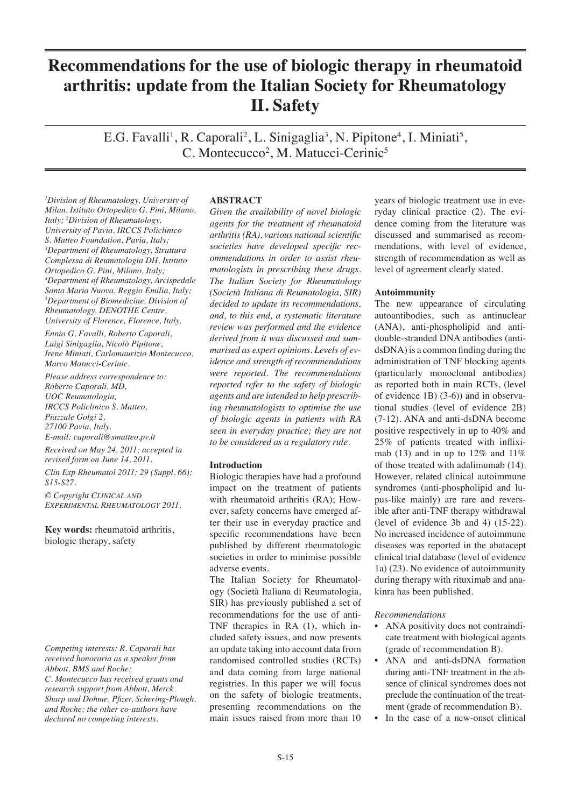# **Recommendations for the use of biologic therapy in rheumatoid arthritis: update from the Italian Society for Rheumatology II. Safety**

E.G. Favalli<sup>1</sup>, R. Caporali<sup>2</sup>, L. Sinigaglia<sup>3</sup>, N. Pipitone<sup>4</sup>, I. Miniati<sup>5</sup>, C. Montecucco<sup>2</sup>, M. Matucci-Cerinic<sup>5</sup>

*1 Division of Rheumatology, University of Milan, Istituto Ortopedico G. Pini, Milano, Italy; <sup>2</sup> Division of Rheumatology, University of Pavia, IRCCS Policlinico S. Matteo Foundation, Pavia, Italy; 3 Department of Rheumatology, Struttura Complessa di Reumatologia DH, Istituto Ortopedico G. Pini, Milano, Italy; 4 Department of Rheumatology, Arcispedale Santa Maria Nuova, Reggio Emilia, Italy; 5 Department of Biomedicine, Division of Rheumatology, DENOTHE Centre, University of Florence, Florence, Italy.*

*Ennio G. Favalli, Roberto Caporali, Luigi Sinigaglia, Nicolò Pipitone, Irene Miniati, Carlomaurizio Montecucco, Marco Matucci-Cerinic.*

*Please address correspondence to: Roberto Caporali, MD, UOC Reumatologia, IRCCS Policlinico S. Matteo, Piazzale Golgi 2, 27100 Pavia, Italy. E-mail: caporali@smatteo.pv.it*

*Received on May 24, 2011; accepted in revised form on June 14, 2011. Clin Exp Rheumatol 2011; 29 (Suppl. 66): S15-S27.*

*© Copyright CLINICAL AND EXPERIMENTAL RHEUMATOLOGY 2011.*

**Key words:** rheumatoid arthritis, biologic therapy, safety

## *Competing interests: R. Caporali has received honoraria as a speaker from Abbott, BMS and Roche;*

*C. Montecucco has received grants and research support from Abbott, Merck Sharp and Dohme, Pfizer, Schering-Plough, and Roche; the other co-authors have declared no competing interests.*

# **ABSTRACT**

*Given the availability of novel biologic agents for the treatment of rheumatoid arthritis (RA), various national scientific societies have developed specific recommendations in order to assist rheumatologists in prescribing these drugs. The Italian Society for Rheumatology (Società Italiana di Reumatologia, SIR) decided to update its recommendations, and, to this end, a systematic literature review was performed and the evidence derived from it was discussed and summarised as expert opinions. Levels of evidence and strength of recommendations were reported. The recommendations reported refer to the safety of biologic agents and are intended to help prescribing rheumatologists to optimise the use of biologic agents in patients with RA seen in everyday practice; they are not to be considered as a regulatory rule.*

## **Introduction**

Biologic therapies have had a profound impact on the treatment of patients with rheumatoid arthritis (RA); However, safety concerns have emerged after their use in everyday practice and specific recommendations have been published by different rheumatologic societies in order to minimise possible adverse events.

The Italian Society for Rheumatology (Società Italiana di Reumatologia, SIR) has previously published a set of recommendations for the use of anti-TNF therapies in RA (1), which included safety issues, and now presents an update taking into account data from randomised controlled studies (RCTs) and data coming from large national registries. In this paper we will focus on the safety of biologic treatments, presenting recommendations on the main issues raised from more than 10

years of biologic treatment use in everyday clinical practice (2). The evidence coming from the literature was discussed and summarised as recommendations, with level of evidence, strength of recommendation as well as level of agreement clearly stated.

## **Autoimmunity**

The new appearance of circulating autoantibodies, such as antinuclear (ANA), anti-phospholipid and antidouble-stranded DNA antibodies (antidsDNA) is a common finding during the administration of TNF blocking agents (particularly monoclonal antibodies) as reported both in main RCTs, (level of evidence 1B) (3-6)) and in observational studies (level of evidence 2B) (7-12). ANA and anti-dsDNA become positive respectively in up to 40% and 25% of patients treated with infliximab (13) and in up to  $12\%$  and  $11\%$ of those treated with adalimumab (14). However, related clinical autoimmune syndromes (anti-phospholipid and lupus-like mainly) are rare and reversible after anti-TNF therapy withdrawal (level of evidence 3b and 4) (15-22). No increased incidence of autoimmune diseases was reported in the abatacept clinical trial database (level of evidence 1a) (23). No evidence of autoimmunity during therapy with rituximab and anakinra has been published.

## *Recommendations*

- ANA positivity does not contraindicate treatment with biological agents (grade of recommendation B).
- ANA and anti-dsDNA formation during anti-TNF treatment in the absence of clinical syndromes does not preclude the continuation of the treatment (grade of recommendation B).
- In the case of a new-onset clinical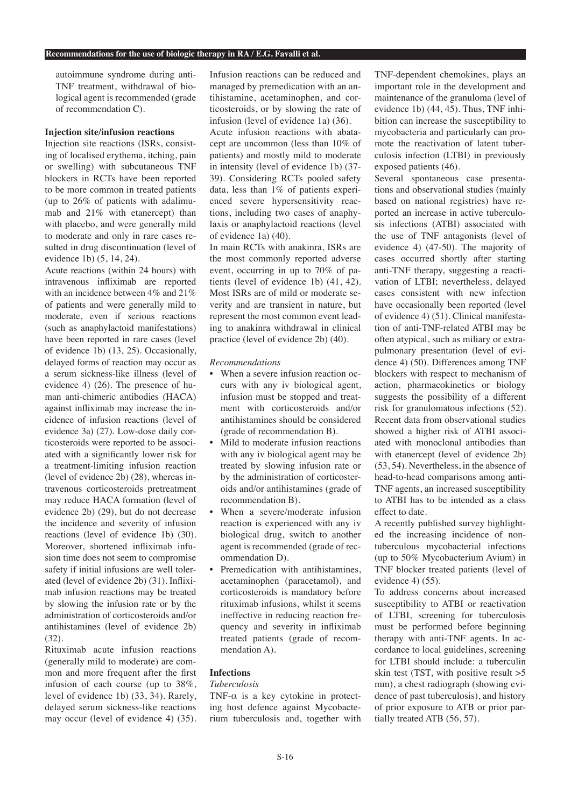autoimmune syndrome during anti-TNF treatment, withdrawal of biological agent is recommended (grade of recommendation C).

# **Injection site/infusion reactions**

Injection site reactions (ISRs, consisting of localised erythema, itching, pain or swelling) with subcutaneous TNF blockers in RCTs have been reported to be more common in treated patients (up to 26% of patients with adalimumab and 21% with etanercept) than with placebo, and were generally mild to moderate and only in rare cases resulted in drug discontinuation (level of evidence 1b) (5, 14, 24).

Acute reactions (within 24 hours) with intravenous infliximab are reported with an incidence between 4% and 21% of patients and were generally mild to moderate, even if serious reactions (such as anaphylactoid manifestations) have been reported in rare cases (level of evidence 1b) (13, 25). Occasionally, delayed forms of reaction may occur as a serum sickness-like illness (level of evidence 4) (26). The presence of human anti-chimeric antibodies (HACA) against infliximab may increase the incidence of infusion reactions (level of evidence 3a) (27). Low-dose daily corticosteroids were reported to be associated with a significantly lower risk for a treatment-limiting infusion reaction (level of evidence 2b) (28), whereas intravenous corticosteroids pretreatment may reduce HACA formation (level of evidence 2b) (29), but do not decrease the incidence and severity of infusion reactions (level of evidence 1b) (30). Moreover, shortened infliximab infusion time does not seem to compromise safety if initial infusions are well tolerated (level of evidence 2b) (31). Infliximab infusion reactions may be treated by slowing the infusion rate or by the administration of corticosteroids and/or antihistamines (level of evidence 2b)  $(32)$ 

Rituximab acute infusion reactions (generally mild to moderate) are common and more frequent after the first infusion of each course (up to 38%, level of evidence 1b) (33, 34). Rarely, delayed serum sickness-like reactions may occur (level of evidence 4) (35). Infusion reactions can be reduced and managed by premedication with an antihistamine, acetaminophen, and corticosteroids, or by slowing the rate of infusion (level of evidence 1a) (36).

Acute infusion reactions with abatacept are uncommon (less than 10% of patients) and mostly mild to moderate in intensity (level of evidence 1b) (37- 39). Considering RCTs pooled safety data, less than 1% of patients experienced severe hypersensitivity reactions, including two cases of anaphylaxis or anaphylactoid reactions (level of evidence 1a) (40).

In main RCTs with anakinra, ISRs are the most commonly reported adverse event, occurring in up to 70% of patients (level of evidence 1b) (41, 42). Most ISRs are of mild or moderate severity and are transient in nature, but represent the most common event leading to anakinra withdrawal in clinical practice (level of evidence 2b) (40).

#### *Recommendations*

- When a severe infusion reaction occurs with any iv biological agent, infusion must be stopped and treatment with corticosteroids and/or antihistamines should be considered (grade of recommendation B).
- Mild to moderate infusion reactions with any iv biological agent may be treated by slowing infusion rate or by the administration of corticosteroids and/or antihistamines (grade of recommendation B).
- When a severe/moderate infusion reaction is experienced with any iv biological drug, switch to another agent is recommended (grade of recommendation D).
- Premedication with antihistamines, acetaminophen (paracetamol), and corticosteroids is mandatory before rituximab infusions, whilst it seems ineffective in reducing reaction frequency and severity in infliximab treated patients (grade of recommendation A).

## **Infections**

#### *Tuberculosis*

TNF- $\alpha$  is a key cytokine in protecting host defence against Mycobacterium tuberculosis and, together with TNF-dependent chemokines, plays an important role in the development and maintenance of the granuloma (level of evidence 1b) (44, 45). Thus, TNF inhibition can increase the susceptibility to mycobacteria and particularly can promote the reactivation of latent tuberculosis infection (LTBI) in previously exposed patients (46).

Several spontaneous case presentations and observational studies (mainly based on national registries) have reported an increase in active tuberculosis infections (ATBI) associated with the use of TNF antagonists (level of evidence 4) (47-50). The majority of cases occurred shortly after starting anti-TNF therapy, suggesting a reactivation of LTBI; nevertheless, delayed cases consistent with new infection have occasionally been reported (level of evidence 4) (51). Clinical manifestation of anti-TNF-related ATBI may be often atypical, such as miliary or extrapulmonary presentation (level of evidence 4) (50). Differences among TNF blockers with respect to mechanism of action, pharmacokinetics or biology suggests the possibility of a different risk for granulomatous infections (52). Recent data from observational studies showed a higher risk of ATBI associated with monoclonal antibodies than with etanercept (level of evidence 2b) (53, 54). Nevertheless, in the absence of head-to-head comparisons among anti-TNF agents, an increased susceptibility to ATBI has to be intended as a class effect to date.

A recently published survey highlighted the increasing incidence of nontuberculous mycobacterial infections (up to 50% Mycobacterium Avium) in TNF blocker treated patients (level of evidence 4) (55).

To address concerns about increased susceptibility to ATBI or reactivation of LTBI, screening for tuberculosis must be performed before beginning therapy with anti-TNF agents. In accordance to local guidelines, screening for LTBI should include: a tuberculin skin test (TST, with positive result >5 mm), a chest radiograph (showing evidence of past tuberculosis), and history of prior exposure to ATB or prior partially treated ATB (56, 57).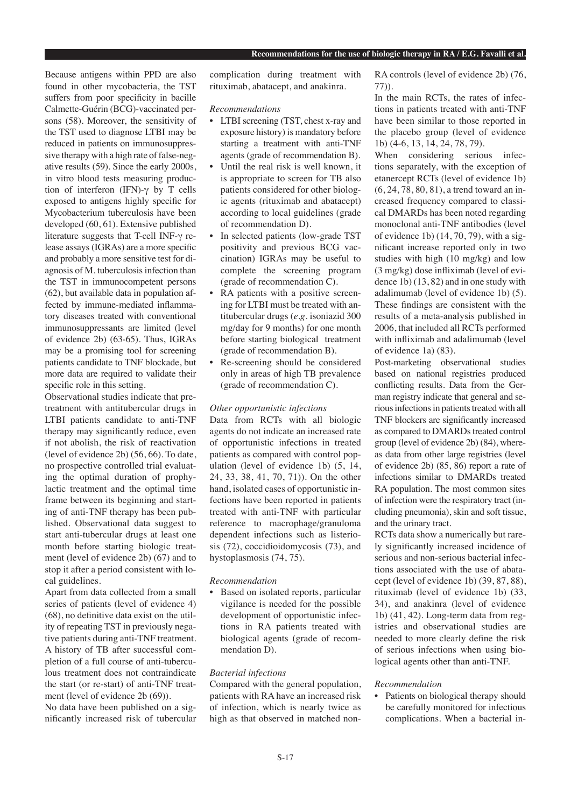Because antigens within PPD are also found in other mycobacteria, the TST suffers from poor specificity in bacille Calmette-Guérin (BCG)-vaccinated persons (58). Moreover, the sensitivity of the TST used to diagnose LTBI may be reduced in patients on immunosuppressive therapy with a high rate of false-negative results (59). Since the early 2000s, in vitro blood tests measuring production of interferon (IFN)-γ by T cells exposed to antigens highly specific for Mycobacterium tuberculosis have been developed (60, 61). Extensive published literature suggests that T-cell INF-γ release assays (IGRAs) are a more specific and probably a more sensitive test for diagnosis of M. tuberculosis infection than the TST in immunocompetent persons (62), but available data in population affected by immune-mediated inflammatory diseases treated with conventional immunosuppressants are limited (level of evidence 2b) (63-65). Thus, IGRAs may be a promising tool for screening patients candidate to TNF blockade, but more data are required to validate their specific role in this setting.

Observational studies indicate that pretreatment with antitubercular drugs in LTBI patients candidate to anti-TNF therapy may significantly reduce, even if not abolish, the risk of reactivation (level of evidence 2b) (56, 66). To date, no prospective controlled trial evaluating the optimal duration of prophylactic treatment and the optimal time frame between its beginning and starting of anti-TNF therapy has been published. Observational data suggest to start anti-tubercular drugs at least one month before starting biologic treatment (level of evidence 2b) (67) and to stop it after a period consistent with local guidelines.

Apart from data collected from a small series of patients (level of evidence 4) (68), no definitive data exist on the utility of repeating TST in previously negative patients during anti-TNF treatment. A history of TB after successful completion of a full course of anti-tuberculous treatment does not contraindicate the start (or re-start) of anti-TNF treatment (level of evidence 2b (69)).

No data have been published on a significantly increased risk of tubercular complication during treatment with rituximab, abatacept, and anakinra.

## *Recommendations*

- LTBI screening (TST, chest x-ray and exposure history) is mandatory before starting a treatment with anti-TNF agents (grade of recommendation B).
- Until the real risk is well known, it is appropriate to screen for TB also patients considered for other biologic agents (rituximab and abatacept) according to local guidelines (grade of recommendation D).
- In selected patients (low-grade TST positivity and previous BCG vaccination) IGRAs may be useful to complete the screening program (grade of recommendation C).
- RA patients with a positive screening for LTBI must be treated with antitubercular drugs (*e.g*. isoniazid 300 mg/day for 9 months) for one month before starting biological treatment (grade of recommendation B).
- Re-screening should be considered only in areas of high TB prevalence (grade of recommendation C).

## *Other opportunistic infections*

Data from RCTs with all biologic agents do not indicate an increased rate of opportunistic infections in treated patients as compared with control population (level of evidence 1b) (5, 14, 24, 33, 38, 41, 70, 71)). On the other hand, isolated cases of opportunistic infections have been reported in patients treated with anti-TNF with particular reference to macrophage/granuloma dependent infections such as listeriosis (72), coccidioidomycosis (73), and hystoplasmosis (74, 75).

# *Recommendation*

• Based on isolated reports, particular vigilance is needed for the possible development of opportunistic infections in RA patients treated with biological agents (grade of recommendation D).

## *Bacterial infections*

Compared with the general population, patients with RA have an increased risk of infection, which is nearly twice as high as that observed in matched nonRA controls (level of evidence 2b) (76, 77)).

In the main RCTs, the rates of infections in patients treated with anti-TNF have been similar to those reported in the placebo group (level of evidence 1b) (4-6, 13, 14, 24, 78, 79).

When considering serious infections separately, with the exception of etanercept RCTs (level of evidence 1b) (6, 24, 78, 80, 81), a trend toward an increased frequency compared to classical DMARDs has been noted regarding monoclonal anti-TNF antibodies (level of evidence 1b) (14, 70, 79), with a significant increase reported only in two studies with high (10 mg/kg) and low (3 mg/kg) dose infliximab (level of evidence 1b) (13, 82) and in one study with adalimumab (level of evidence 1b) (5). These findings are consistent with the results of a meta-analysis published in 2006, that included all RCTs performed with infliximab and adalimumab (level of evidence 1a) (83).

Post-marketing observational studies based on national registries produced conflicting results. Data from the German registry indicate that general and serious infections in patients treated with all TNF blockers are significantly increased as compared to DMARDs treated control group (level of evidence 2b) (84), whereas data from other large registries (level of evidence 2b) (85, 86) report a rate of infections similar to DMARDs treated RA population. The most common sites of infection were the respiratory tract (including pneumonia), skin and soft tissue, and the urinary tract.

RCTs data show a numerically but rarely significantly increased incidence of serious and non-serious bacterial infections associated with the use of abatacept (level of evidence 1b) (39, 87, 88), rituximab (level of evidence 1b) (33, 34), and anakinra (level of evidence 1b) (41, 42). Long-term data from registries and observational studies are needed to more clearly define the risk of serious infections when using biological agents other than anti-TNF.

## *Recommendation*

• Patients on biological therapy should be carefully monitored for infectious complications. When a bacterial in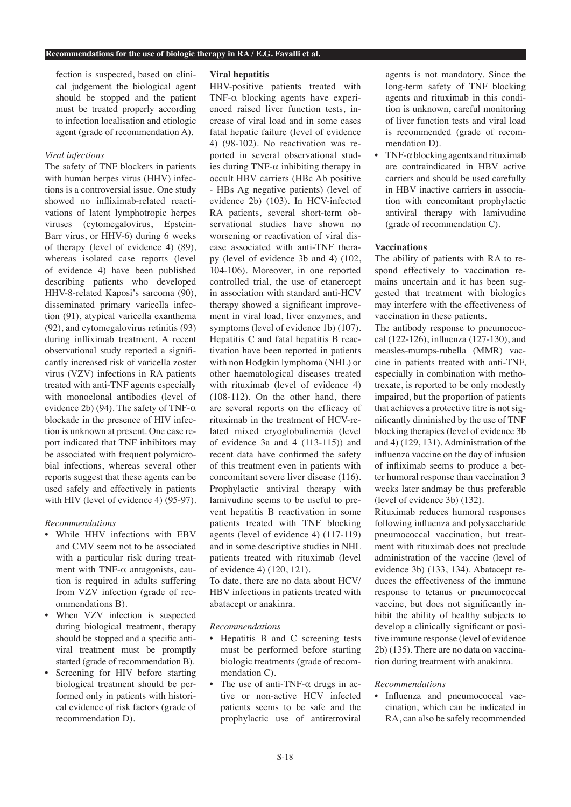fection is suspected, based on clinical judgement the biological agent should be stopped and the patient must be treated properly according to infection localisation and etiologic agent (grade of recommendation A).

## *Viral infections*

The safety of TNF blockers in patients with human herpes virus (HHV) infections is a controversial issue. One study showed no infliximab-related reactivations of latent lymphotropic herpes viruses (cytomegalovirus, Epstein-Barr virus, or HHV-6) during 6 weeks of therapy (level of evidence 4) (89), whereas isolated case reports (level of evidence 4) have been published describing patients who developed HHV-8-related Kaposi's sarcoma (90), disseminated primary varicella infection (91), atypical varicella exanthema (92), and cytomegalovirus retinitis (93) during infliximab treatment. A recent observational study reported a significantly increased risk of varicella zoster virus (VZV) infections in RA patients treated with anti-TNF agents especially with monoclonal antibodies (level of evidence 2b) (94). The safety of TNF- $\alpha$ blockade in the presence of HIV infection is unknown at present. One case report indicated that TNF inhibitors may be associated with frequent polymicrobial infections, whereas several other reports suggest that these agents can be used safely and effectively in patients with HIV (level of evidence 4) (95-97).

## *Recommendations*

- While HHV infections with EBV and CMV seem not to be associated with a particular risk during treatment with TNF- $\alpha$  antagonists, caution is required in adults suffering from VZV infection (grade of recommendations B).
- When VZV infection is suspected during biological treatment, therapy should be stopped and a specific antiviral treatment must be promptly started (grade of recommendation B).
- Screening for HIV before starting biological treatment should be performed only in patients with historical evidence of risk factors (grade of recommendation D).

## **Viral hepatitis**

HBV-positive patients treated with TNF-α blocking agents have experienced raised liver function tests, increase of viral load and in some cases fatal hepatic failure (level of evidence 4) (98-102). No reactivation was reported in several observational studies during TNF- $\alpha$  inhibiting therapy in occult HBV carriers (HBc Ab positive - HBs Ag negative patients) (level of evidence 2b) (103). In HCV-infected RA patients, several short-term observational studies have shown no worsening or reactivation of viral disease associated with anti-TNF therapy (level of evidence 3b and 4) (102, 104-106). Moreover, in one reported controlled trial, the use of etanercept in association with standard anti-HCV therapy showed a significant improvement in viral load, liver enzymes, and symptoms (level of evidence 1b) (107). Hepatitis C and fatal hepatitis B reactivation have been reported in patients with non Hodgkin lymphoma (NHL) or other haematological diseases treated with rituximab (level of evidence 4) (108-112). On the other hand, there are several reports on the efficacy of rituximab in the treatment of HCV-related mixed cryoglobulinemia (level of evidence 3a and 4 (113-115)) and recent data have confirmed the safety of this treatment even in patients with concomitant severe liver disease (116). Prophylactic antiviral therapy with lamivudine seems to be useful to prevent hepatitis B reactivation in some patients treated with TNF blocking agents (level of evidence 4) (117-119) and in some descriptive studies in NHL patients treated with rituximab (level of evidence 4) (120, 121).

To date, there are no data about HCV/ HBV infections in patients treated with abatacept or anakinra.

## *Recommendations*

- Hepatitis B and C screening tests must be performed before starting biologic treatments (grade of recommendation C).
- The use of anti-TNF- $\alpha$  drugs in active or non-active HCV infected patients seems to be safe and the prophylactic use of antiretroviral

agents is not mandatory. Since the long-term safety of TNF blocking agents and rituximab in this condition is unknown, careful monitoring of liver function tests and viral load is recommended (grade of recommendation D).

• TNF- $\alpha$  blocking agents and rituximab are contraindicated in HBV active carriers and should be used carefully in HBV inactive carriers in association with concomitant prophylactic antiviral therapy with lamivudine (grade of recommendation C).

## **Vaccinations**

The ability of patients with RA to respond effectively to vaccination remains uncertain and it has been suggested that treatment with biologics may interfere with the effectiveness of vaccination in these patients.

The antibody response to pneumococcal (122-126), influenza (127-130), and measles-mumps-rubella (MMR) vaccine in patients treated with anti-TNF, especially in combination with methotrexate, is reported to be only modestly impaired, but the proportion of patients that achieves a protective titre is not significantly diminished by the use of TNF blocking therapies (level of evidence 3b and 4) (129, 131). Administration of the influenza vaccine on the day of infusion of infliximab seems to produce a better humoral response than vaccination 3 weeks later andmay be thus preferable (level of evidence 3b) (132).

Rituximab reduces humoral responses following influenza and polysaccharide pneumococcal vaccination, but treatment with rituximab does not preclude administration of the vaccine (level of evidence 3b) (133, 134). Abatacept reduces the effectiveness of the immune response to tetanus or pneumococcal vaccine, but does not significantly inhibit the ability of healthy subjects to develop a clinically significant or positive immune response (level of evidence 2b) (135). There are no data on vaccination during treatment with anakinra.

## *Recommendations*

• Influenza and pneumococcal vaccination, which can be indicated in RA, can also be safely recommended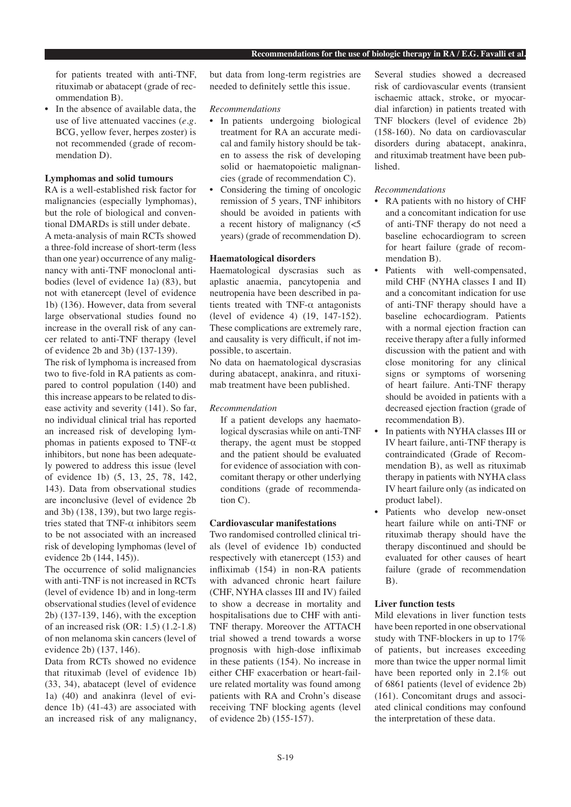for patients treated with anti-TNF, rituximab or abatacept (grade of recommendation B).

In the absence of available data, the use of live attenuated vaccines (*e.g*. BCG, yellow fever, herpes zoster) is not recommended (grade of recommendation D).

## **Lymphomas and solid tumours**

RA is a well-established risk factor for malignancies (especially lymphomas), but the role of biological and conventional DMARDs is still under debate. A meta-analysis of main RCTs showed a three-fold increase of short-term (less than one year) occurrence of any malignancy with anti-TNF monoclonal antibodies (level of evidence 1a) (83), but not with etanercept (level of evidence 1b) (136). However, data from several large observational studies found no increase in the overall risk of any cancer related to anti-TNF therapy (level of evidence 2b and 3b) (137-139).

The risk of lymphoma is increased from two to five-fold in RA patients as compared to control population (140) and this increase appears to be related to disease activity and severity (141). So far, no individual clinical trial has reported an increased risk of developing lymphomas in patients exposed to TNF- $α$ inhibitors, but none has been adequately powered to address this issue (level of evidence 1b) (5, 13, 25, 78, 142, 143). Data from observational studies are inconclusive (level of evidence 2b and 3b) (138, 139), but two large registries stated that  $TNF-\alpha$  inhibitors seem to be not associated with an increased risk of developing lymphomas (level of evidence 2b (144, 145)).

The occurrence of solid malignancies with anti-TNF is not increased in RCTs (level of evidence 1b) and in long-term observational studies (level of evidence 2b) (137-139, 146), with the exception of an increased risk (OR: 1.5) (1.2-1.8) of non melanoma skin cancers (level of evidence 2b) (137, 146).

Data from RCTs showed no evidence that rituximab (level of evidence 1b) (33, 34), abatacept (level of evidence 1a) (40) and anakinra (level of evidence 1b) (41-43) are associated with an increased risk of any malignancy, but data from long-term registries are needed to definitely settle this issue.

## *Recommendations*

- In patients undergoing biological treatment for RA an accurate medical and family history should be taken to assess the risk of developing solid or haematopoietic malignancies (grade of recommendation C).
- Considering the timing of oncologic remission of 5 years, TNF inhibitors should be avoided in patients with a recent history of malignancy (<5 years) (grade of recommendation D).

# **Haematological disorders**

Haematological dyscrasias such as aplastic anaemia, pancytopenia and neutropenia have been described in patients treated with TNF- $\alpha$  antagonists (level of evidence 4) (19, 147-152). These complications are extremely rare, and causality is very difficult, if not impossible, to ascertain.

No data on haematological dyscrasias during abatacept, anakinra, and rituximab treatment have been published.

## *Recommendation*

If a patient develops any haematological dyscrasias while on anti-TNF therapy, the agent must be stopped and the patient should be evaluated for evidence of association with concomitant therapy or other underlying conditions (grade of recommendation C).

# **Cardiovascular manifestations**

Two randomised controlled clinical trials (level of evidence 1b) conducted respectively with etanercept (153) and infliximab (154) in non-RA patients with advanced chronic heart failure (CHF, NYHA classes III and IV) failed to show a decrease in mortality and hospitalisations due to CHF with anti-TNF therapy. Moreover the ATTACH trial showed a trend towards a worse prognosis with high-dose infliximab in these patients (154). No increase in either CHF exacerbation or heart-failure related mortality was found among patients with RA and Crohn's disease receiving TNF blocking agents (level of evidence 2b) (155-157).

Several studies showed a decreased risk of cardiovascular events (transient ischaemic attack, stroke, or myocardial infarction) in patients treated with TNF blockers (level of evidence 2b) (158-160). No data on cardiovascular disorders during abatacept, anakinra, and rituximab treatment have been published.

## *Recommendations*

- RA patients with no history of CHF and a concomitant indication for use of anti-TNF therapy do not need a baseline echocardiogram to screen for heart failure (grade of recommendation B).
- Patients with well-compensated, mild CHF (NYHA classes I and II) and a concomitant indication for use of anti-TNF therapy should have a baseline echocardiogram. Patients with a normal ejection fraction can receive therapy after a fully informed discussion with the patient and with close monitoring for any clinical signs or symptoms of worsening of heart failure. Anti-TNF therapy should be avoided in patients with a decreased ejection fraction (grade of recommendation B).
- In patients with NYHA classes III or IV heart failure, anti-TNF therapy is contraindicated (Grade of Recommendation B), as well as rituximab therapy in patients with NYHA class IV heart failure only (as indicated on product label).
- Patients who develop new-onset heart failure while on anti-TNF or rituximab therapy should have the therapy discontinued and should be evaluated for other causes of heart failure (grade of recommendation B).

# **Liver function tests**

Mild elevations in liver function tests have been reported in one observational study with TNF-blockers in up to 17% of patients, but increases exceeding more than twice the upper normal limit have been reported only in 2.1% out of 6861 patients (level of evidence 2b) (161). Concomitant drugs and associated clinical conditions may confound the interpretation of these data.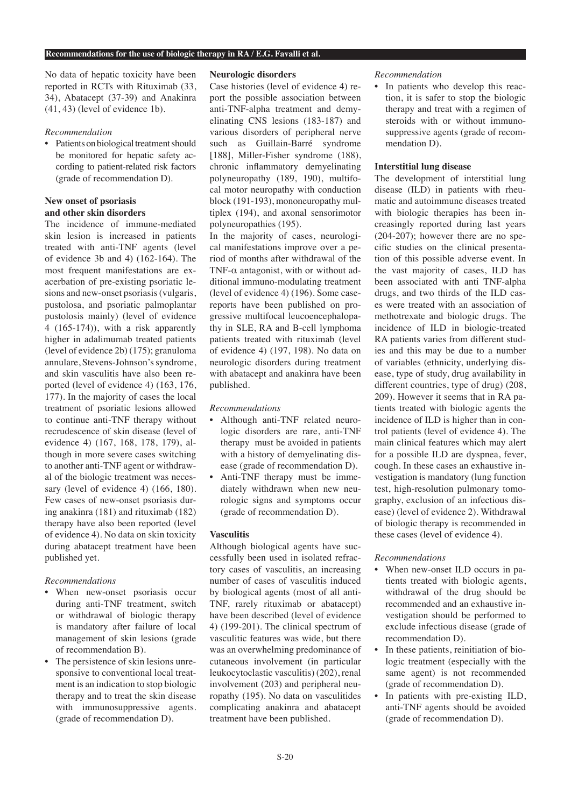No data of hepatic toxicity have been reported in RCTs with Rituximab (33, 34), Abatacept (37-39) and Anakinra (41, 43) (level of evidence 1b).

## *Recommendation*

• Patients on biological treatment should be monitored for hepatic safety according to patient-related risk factors (grade of recommendation D).

## **New onset of psoriasis and other skin disorders**

The incidence of immune-mediated skin lesion is increased in patients treated with anti-TNF agents (level of evidence 3b and 4) (162-164). The most frequent manifestations are exacerbation of pre-existing psoriatic lesions and new-onset psoriasis (vulgaris, pustolosa, and psoriatic palmoplantar pustolosis mainly) (level of evidence 4 (165-174)), with a risk apparently higher in adalimumab treated patients (level of evidence 2b) (175); granuloma annulare, Stevens-Johnson's syndrome, and skin vasculitis have also been reported (level of evidence 4) (163, 176, 177). In the majority of cases the local treatment of psoriatic lesions allowed to continue anti-TNF therapy without recrudescence of skin disease (level of evidence 4) (167, 168, 178, 179), although in more severe cases switching to another anti-TNF agent or withdrawal of the biologic treatment was necessary (level of evidence 4) (166, 180). Few cases of new-onset psoriasis during anakinra (181) and rituximab (182) therapy have also been reported (level of evidence 4). No data on skin toxicity during abatacept treatment have been published yet.

# *Recommendations*

- When new-onset psoriasis occur during anti-TNF treatment, switch or withdrawal of biologic therapy is mandatory after failure of local management of skin lesions (grade of recommendation B).
- The persistence of skin lesions unresponsive to conventional local treatment is an indication to stop biologic therapy and to treat the skin disease with immunosuppressive agents. (grade of recommendation D).

## **Neurologic disorders**

Case histories (level of evidence 4) report the possible association between anti-TNF-alpha treatment and demyelinating CNS lesions (183-187) and various disorders of peripheral nerve such as Guillain-Barré syndrome [188], Miller-Fisher syndrome (188), chronic inflammatory demyelinating polyneuropathy (189, 190), multifocal motor neuropathy with conduction block (191-193), mononeuropathy multiplex (194), and axonal sensorimotor polyneuropathies (195).

In the majority of cases, neurological manifestations improve over a period of months after withdrawal of the TNF-α antagonist, with or without additional immuno-modulating treatment (level of evidence 4) (196). Some casereports have been published on progressive multifocal leucoencephalopathy in SLE, RA and B-cell lymphoma patients treated with rituximab (level of evidence 4) (197, 198). No data on neurologic disorders during treatment with abatacept and anakinra have been published.

## *Recommendations*

- Although anti-TNF related neurologic disorders are rare, anti-TNF therapy must be avoided in patients with a history of demyelinating disease (grade of recommendation D).
- Anti-TNF therapy must be immediately withdrawn when new neurologic signs and symptoms occur (grade of recommendation D).

## **Vasculitis**

Although biological agents have successfully been used in isolated refractory cases of vasculitis, an increasing number of cases of vasculitis induced by biological agents (most of all anti-TNF, rarely rituximab or abatacept) have been described (level of evidence 4) (199-201). The clinical spectrum of vasculitic features was wide, but there was an overwhelming predominance of cutaneous involvement (in particular leukocytoclastic vasculitis) (202), renal involvement (203) and peripheral neuropathy (195). No data on vasculitides complicating anakinra and abatacept treatment have been published.

#### *Recommendation*

• In patients who develop this reaction, it is safer to stop the biologic therapy and treat with a regimen of steroids with or without immunosuppressive agents (grade of recommendation D).

## **Interstitial lung disease**

The development of interstitial lung disease (ILD) in patients with rheumatic and autoimmune diseases treated with biologic therapies has been increasingly reported during last years (204-207); however there are no specific studies on the clinical presentation of this possible adverse event. In the vast majority of cases, ILD has been associated with anti TNF-alpha drugs, and two thirds of the ILD cases were treated with an association of methotrexate and biologic drugs. The incidence of ILD in biologic-treated RA patients varies from different studies and this may be due to a number of variables (ethnicity, underlying disease, type of study, drug availability in different countries, type of drug) (208, 209). However it seems that in RA patients treated with biologic agents the incidence of ILD is higher than in control patients (level of evidence 4). The main clinical features which may alert for a possible ILD are dyspnea, fever, cough. In these cases an exhaustive investigation is mandatory (lung function test, high-resolution pulmonary tomography, exclusion of an infectious disease) (level of evidence 2). Withdrawal of biologic therapy is recommended in these cases (level of evidence 4).

#### *Recommendations*

- When new-onset ILD occurs in patients treated with biologic agents, withdrawal of the drug should be recommended and an exhaustive investigation should be performed to exclude infectious disease (grade of recommendation D).
- In these patients, reinitiation of biologic treatment (especially with the same agent) is not recommended (grade of recommendation D).
- In patients with pre-existing ILD, anti-TNF agents should be avoided (grade of recommendation D).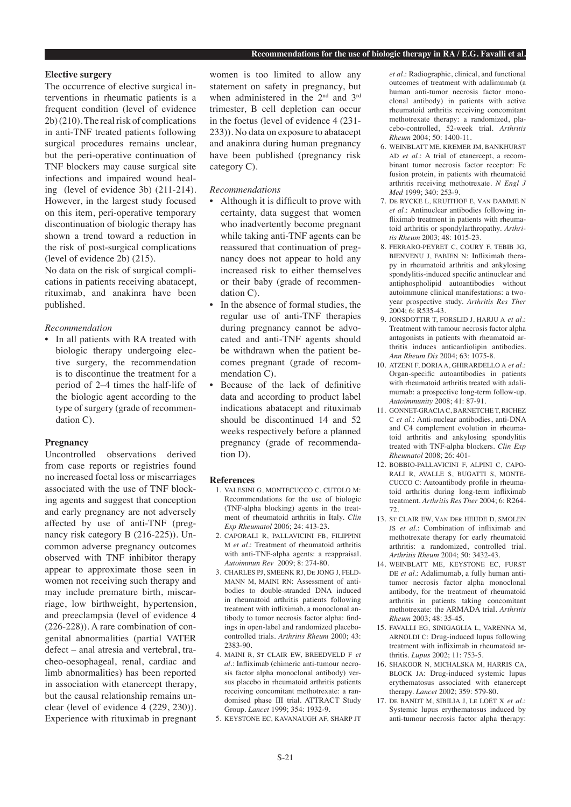#### **Elective surgery**

The occurrence of elective surgical interventions in rheumatic patients is a frequent condition (level of evidence 2b) (210). The real risk of complications in anti-TNF treated patients following surgical procedures remains unclear, but the peri-operative continuation of TNF blockers may cause surgical site infections and impaired wound healing (level of evidence 3b) (211-214). However, in the largest study focused on this item, peri-operative temporary discontinuation of biologic therapy has shown a trend toward a reduction in the risk of post-surgical complications (level of evidence 2b) (215).

No data on the risk of surgical complications in patients receiving abatacept, rituximab, and anakinra have been published.

#### *Recommendation*

• In all patients with RA treated with biologic therapy undergoing elective surgery, the recommendation is to discontinue the treatment for a period of 2–4 times the half-life of the biologic agent according to the type of surgery (grade of recommendation C).

## **Pregnancy**

Uncontrolled observations derived from case reports or registries found no increased foetal loss or miscarriages associated with the use of TNF blocking agents and suggest that conception and early pregnancy are not adversely affected by use of anti-TNF (pregnancy risk category B (216-225)). Uncommon adverse pregnancy outcomes observed with TNF inhibitor therapy appear to approximate those seen in women not receiving such therapy and may include premature birth, miscarriage, low birthweight, hypertension, and preeclampsia (level of evidence 4 (226-228)). A rare combination of congenital abnormalities (partial VATER defect – anal atresia and vertebral, tracheo-oesophageal, renal, cardiac and limb abnormalities) has been reported in association with etanercept therapy, but the causal relationship remains unclear (level of evidence 4 (229, 230)). Experience with rituximab in pregnant

women is too limited to allow any statement on safety in pregnancy, but when administered in the 2<sup>nd</sup> and 3<sup>rd</sup> trimester, B cell depletion can occur in the foetus (level of evidence 4 (231- 233)). No data on exposure to abatacept and anakinra during human pregnancy have been published (pregnancy risk category C).

#### *Recommendations*

- Although it is difficult to prove with certainty, data suggest that women who inadvertently become pregnant while taking anti-TNF agents can be reassured that continuation of pregnancy does not appear to hold any increased risk to either themselves or their baby (grade of recommendation C).
- In the absence of formal studies, the regular use of anti-TNF therapies during pregnancy cannot be advocated and anti-TNF agents should be withdrawn when the patient becomes pregnant (grade of recommendation C).
- Because of the lack of definitive data and according to product label indications abatacept and rituximab should be discontinued 14 and 52 weeks respectively before a planned pregnancy (grade of recommendation D).

#### **References**

- 1. VALESINI G, MONTECUCCO C, CUTOLO M: Recommendations for the use of biologic (TNF-alpha blocking) agents in the treatment of rheumatoid arthritis in Italy. *Clin Exp Rheumatol* 2006; 24: 413-23.
- 2. CAPORALI R, PALLAVICINI FB, FILIPPINI M *et al.*: Treatment of rheumatoid arthritis with anti-TNF-alpha agents: a reappraisal. *Autoimmun Rev* 2009; 8: 274-80.
- 3. CHARLES PJ, SMEENK RJ, DE JONG J, FELD-MANN M, MAINI RN: Assessment of antibodies to double-stranded DNA induced in rheumatoid arthritis patients following treatment with infliximab, a monoclonal antibody to tumor necrosis factor alpha: findings in open-label and randomized placebocontrolled trials. *Arthritis Rheum* 2000; 43: 2383-90.
- 4. MAINI R, ST CLAIR EW, BREEDVELD F *et al.*: Infliximab (chimeric anti-tumour necrosis factor alpha monoclonal antibody) versus placebo in rheumatoid arthritis patients receiving concomitant methotrexate: a randomised phase III trial. ATTRACT Study Group. *Lancet* 1999; 354: 1932-9.
- 5. KEYSTONE EC, KAVANAUGH AF, SHARP JT

*et al.*: Radiographic, clinical, and functional outcomes of treatment with adalimumab (a human anti-tumor necrosis factor monoclonal antibody) in patients with active rheumatoid arthritis receiving concomitant methotrexate therapy: a randomized, placebo-controlled, 52-week trial. *Arthritis Rheum* 2004; 50: 1400-11.

- 6. WEINBLATT ME, KREMER JM, BANKHURST AD et al.: A trial of etanercept, a recombinant tumor necrosis factor receptor: Fc fusion protein, in patients with rheumatoid arthritis receiving methotrexate. *N Engl J Med* 1999; 340: 253-9.
- 7. DE RYCKE L, KRUITHOF E, VAN DAMME N *et al.*: Antinuclear antibodies following infliximab treatment in patients with rheumatoid arthritis or spondylarthropathy. *Arthritis Rheum* 2003; 48: 1015-23.
- 8. FERRARO-PEYRET C, COURY F, TEBIB JG, BIENVENU J, FABIEN N: Infliximab therapy in rheumatoid arthritis and ankylosing spondylitis-induced specific antinuclear and antiphospholipid autoantibodies without autoimmune clinical manifestations: a twoyear prospective study. *Arthritis Res Ther*  $2004 \cdot 6 \cdot R535 - 43$
- 9. JONSDOTTIR T, FORSLID J, HARJU A *et al.*: Treatment with tumour necrosis factor alpha antagonists in patients with rheumatoid arthritis induces anticardiolipin antibodies. *Ann Rheum Dis* 2004; 63: 1075-8.
- 10. ATZENI F, DORIA A, GHIRARDELLO A *et al.*: Organ-specific autoantibodies in patients with rheumatoid arthritis treated with adalimumab: a prospective long-term follow-up. *Autoimmunity* 2008; 41: 87-91.
- 11. GONNET-GRACIA C, BARNETCHE T, RICHEZ C *et al.*: Anti-nuclear antibodies, anti-DNA and C4 complement evolution in rheumatoid arthritis and ankylosing spondylitis treated with TNF-alpha blockers. *Clin Exp Rheumatol* 2008; 26: 401-
- 12. BOBBIO-PALLAVICINI F, ALPINI C, CAPO-RALI R, AVALLE S, BUGATTI S, MONTE-CUCCO C: Autoantibody profile in rheumatoid arthritis during long-term infliximab treatment. *Arthritis Res Ther* 2004; 6: R264- 72.
- 13. ST CLAIR EW, VAN DER HEIJDE D, SMOLEN JS *et al.*: Combination of infliximab and methotrexate therapy for early rheumatoid arthritis: a randomized, controlled trial. *Arthritis Rheum* 2004; 50: 3432-43.
- 14. WEINBLATT ME, KEYSTONE EC, FURST DE *et al.*: Adalimumab, a fully human antitumor necrosis factor alpha monoclonal antibody, for the treatment of rheumatoid arthritis in patients taking concomitant methotrexate: the ARMADA trial. *Arthritis Rheum* 2003; 48: 35-45.
- 15. FAVALLI EG, SINIGAGLIA L, VARENNA M, ARNOLDI C: Drug-induced lupus following treatment with infliximab in rheumatoid arthritis. *Lupus* 2002; 11: 753-5.
- 16. SHAKOOR N, MICHALSKA M, HARRIS CA, BLOCK JA: Drug-induced systemic lupus erythematosus associated with etanercept therapy. *Lancet* 2002; 359: 579-80.
- 17. DE BANDT M, SIBILIA J, LE LOËT X *et al.*: Systemic lupus erythematosus induced by anti-tumour necrosis factor alpha therapy: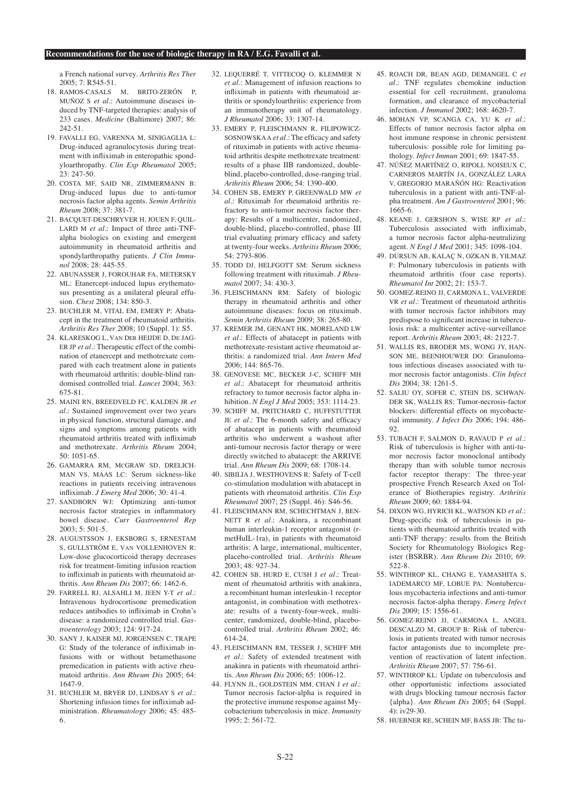a French national survey. *Arthritis Res Ther* 2005; 7: R545-51.

- 18. RAMOS-CASALS M, BRITO-ZERÓN P, MUÑOZ S *et al.*: Autoimmune diseases induced by TNF-targeted therapies: analysis of 233 cases. *Medicine* (Baltimore) 2007; 86: 242-51.
- 19. FAVALLI EG, VARENNA M, SINIGAGLIA L: Drug-induced agranulocytosis during treatment with infliximab in enteropathic spondyloarthropathy. *Clin Exp Rheumatol* 2005; 23: 247-50.
- 20. COSTA MF, SAID NR, ZIMMERMANN B: Drug-induced lupus due to anti-tumor necrosis factor alpha agents. *Semin Arthritis Rheum* 2008; 37: 381-7.
- 21. BACQUET-DESCHRYVER H, JOUEN F, QUIL-LARD M *et al.*: Impact of three anti-TNFalpha biologics on existing and emergent autoimmunity in rheumatoid arthritis and spondylarthropathy patients. *J Clin Immunol* 2008; 28: 445-55.
- 22. ABUNASSER J, FOROUHAR FA, METERSKY ML: Etanercept-induced lupus erythematosus presenting as a unilateral pleural effusion. *Chest* 2008; 134: 850-3.
- 23. BUCHLER M, VITAL EM, EMERY P: Abatacept in the treatment of rheumatoid arthritis. *Arthritis Res Ther* 2008; 10 (Suppl. 1): S5.
- 24. KLARESKOG L, VAN DER HEIJDE D, DE JAG-ER JP *et al.*: Therapeutic effect of the combination of etanercept and methotrexate compared with each treatment alone in patients with rheumatoid arthritis: double-blind randomised controlled trial. *Lancet* 2004; 363: 675-81.
- 25. MAINI RN, BREEDVELD FC, KALDEN JR *et al.*: Sustained improvement over two years in physical function, structural damage, and signs and symptoms among patients with rheumatoid arthritis treated with infliximab and methotrexate. *Arthritis Rheum* 2004; 50: 1051-65.
- 26. GAMARRA RM, MCGRAW SD, DRELICH-MAN VS, MAAS LC: Serum sickness-like reactions in patients receiving intravenous infliximab. *J Emerg Med* 2006; 30: 41-4.
- 27. SANDBORN WJ: Optimizing anti-tumor necrosis factor strategies in inflammatory bowel disease. *Curr Gastroenterol Rep* 2003; 5: 501-5.
- 28. AUGUSTSSON J, EKSBORG S, ERNESTAM S, GULLSTRÖM E, VAN VOLLENHOVEN R: Low-dose glucocorticoid therapy decreases risk for treatment-limiting infusion reaction to infliximab in patients with rheumatoid arthritis. *Ann Rheum Dis* 2007; 66: 1462-6.
- 29. FARRELL RJ, ALSAHLI M, JEEN Y-T *et al.*: Intravenous hydrocortisone premedication reduces antibodies to infliximab in Crohn's disease: a randomized controlled trial. *Gastroenterology* 2003; 124: 917-24.
- 30. SANY J, KAISER MJ, JORGENSEN C, TRAPE G: Study of the tolerance of infliximab infusions with or without betamethasone premedication in patients with active rheumatoid arthritis. *Ann Rheum Dis* 2005; 64: 1647-9.
- 31. BUCHLER M, BRYER DJ, LINDSAY S *et al.*: Shortening infusion times for infliximab administration. *Rheumatology* 2006; 45: 485- 6.
- 32. LEQUERRÉ T, VITTECOQ O, KLEMMER N *et al.*: Management of infusion reactions to infliximab in patients with rheumatoid arthritis or spondyloarthritis: experience from an immunotherapy unit of rheumatology. *J Rheumatol* 2006; 33: 1307-14.
- 33. EMERY P, FLEISCHMANN R, FILIPOWICZ-SOSNOWSKA A *et al.*: The efficacy and safety of rituximab in patients with active rheumatoid arthritis despite methotrexate treatment: results of a phase IIB randomized, doubleblind, placebo-controlled, dose-ranging trial. *Arthritis Rheum* 2006; 54: 1390-400.
- 34. COHEN SB, EMERY P, GREENWALD MW *et al.*: Rituximab for rheumatoid arthritis refractory to anti-tumor necrosis factor therapy: Results of a multicenter, randomized, double-blind, placebo-controlled, phase III trial evaluating primary efficacy and safety at twenty-four weeks. *Arthritis Rheum* 2006; 54: 2793-806.
- 35. TODD DJ, HELFGOTT SM: Serum sickness following treatment with rituximab. *J Rheumatol* 2007; 34: 430-3.
- 36. FLEISCHMANN RM: Safety of biologic therapy in rheumatoid arthritis and other autoimmune diseases: focus on rituximab. *Semin Arthritis Rheum* 2009; 38: 265-80.
- 37. KREMER JM, GENANT HK, MORELAND LW *et al.*: Effects of abatacept in patients with methotrexate-resistant active rheumatoid arthritis: a randomized trial. *Ann Intern Med* 2006; 144: 865-76.
- 38. GENOVESE MC, BECKER J-C, SCHIFF MH *et al.*: Abatacept for rheumatoid arthritis refractory to tumor necrosis factor alpha inhibition. *N Engl J Med* 2005; 353: 1114-23.
- 39. SCHIFF M, PRITCHARD C, HUFFSTUTTER JE *et al.*: The 6-month safety and efficacy of abatacept in patients with rheumatoid arthritis who underwent a washout after anti-tumour necrosis factor therapy or were directly switched to abatacept: the ARRIVE trial. *Ann Rheum Dis* 2009; 68: 1708-14.
- 40. SIBILIA J, WESTHOVENS R: Safety of T-cell co-stimulation modulation with abatacept in patients with rheumatoid arthritis. *Clin Exp Rheumatol* 2007; 25 (Suppl. 46): S46-56.
- 41. FLEISCHMANN RM, SCHECHTMAN J, BEN-NETT R *et al.*: Anakinra, a recombinant human interleukin-1 receptor antagonist (rmetHuIL-1ra), in patients with rheumatoid arthritis: A large, international, multicenter, placebo-controlled trial. *Arthritis Rheum* 2003; 48: 927-34.
- 42. COHEN SB, HURD E, CUSH J *et al.*: Treatment of rheumatoid arthritis with anakinra, a recombinant human interleukin-1 receptor antagonist, in combination with methotrexate: results of a twenty-four-week, multicenter, randomized, double-blind, placebocontrolled trial. *Arthritis Rheum* 2002; 46: 614-24.
- 43. FLEISCHMANN RM, TESSER J, SCHIFF MH *et al.*: Safety of extended treatment with anakinra in patients with rheumatoid arthritis. *Ann Rheum Dis* 2006; 65: 1006-12.
- 44. FLYNN JL, GOLDSTEIN MM, CHAN J *et al.*: Tumor necrosis factor-alpha is required in the protective immune response against Mycobacterium tuberculosis in mice. *Immunity* 1995; 2: 561-72.
- 45. ROACH DR, BEAN AGD, DEMANGEL C *et al.*: TNF regulates chemokine induction essential for cell recruitment, granuloma formation, and clearance of mycobacterial infection. *J Immunol* 2002; 168: 4620-7.
- 46. MOHAN VP, SCANGA CA, YU K *et al.*: Effects of tumor necrosis factor alpha on host immune response in chronic persistent tuberculosis: possible role for limiting pathology. *Infect Immun* 2001; 69: 1847-55.
- 47. NÚÑEZ MARTÍNEZ O, RIPOLL NOISEUX C, CARNEROS MARTÍN JA, GONZÁLEZ LARA V, GREGORIO MARAÑÓN HG: Reactivation tuberculosis in a patient with anti-TNF-alpha treatment. *Am J Gastroenterol* 2001; 96: 1665-6.
- 48. KEANE J, GERSHON S, WISE RP *et al.*: Tuberculosis associated with infliximab, a tumor necrosis factor alpha-neutralizing agent. *N Engl J Med* 2001; 345: 1098-104.
- 49. DURSUN AB, KALAÇ N, OZKAN B, YILMAZ F: Pulmonary tuberculosis in patients with rheumatoid arthritis (four case reports). *Rheumatol Int* 2002; 21: 153-7.
- 50. GOMEZ-REINO JJ, CARMONA L, VALVERDE VR *et al.*: Treatment of rheumatoid arthritis with tumor necrosis factor inhibitors may predispose to significant increase in tuberculosis risk: a multicenter active-surveillance report. *Arthritis Rheum* 2003; 48: 2122-7.
- 51. WALLIS RS, BRODER MS, WONG JY, HAN-SON ME, BEENHOUWER DO: Granulomatous infectious diseases associated with tumor necrosis factor antagonists. *Clin Infect Dis* 2004; 38: 1261-5.
- 52. SALIU OY, SOFER C, STEIN DS, SCHWAN-DER SK, WALLIS RS: Tumor-necrosis-factor blockers: differential effects on mycobacterial immunity. *J Infect Dis* 2006; 194: 486-  $92$
- 53. TUBACH F, SALMON D, RAVAUD P *et al.*: Risk of tuberculosis is higher with anti-tumor necrosis factor monoclonal antibody therapy than with soluble tumor necrosis factor receptor therapy: The three-year prospective French Research Axed on Tolerance of Biotherapies registry. *Arthritis Rheum* 2009; 60: 1884-94.
- 54. DIXON WG, HYRICH KL, WATSON KD *et al.*: Drug-specific risk of tuberculosis in patients with rheumatoid arthritis treated with anti-TNF therapy: results from the British Society for Rheumatology Biologics Register (BSRBR). *Ann Rheum Dis* 2010; 69: 522-8.
- 55. WINTHROP KL, CHANG E, YAMASHITA S, IADEMARCO MF, LOBUE PA: Nontuberculous mycobacteria infections and anti-tumor necrosis factor-alpha therapy. *Emerg Infect Dis* 2009; 15: 1556-61.
- 56. GOMEZ-REINO JJ, CARMONA L, ANGEL DESCALZO M, GROUP B: Risk of tuberculosis in patients treated with tumor necrosis factor antagonists due to incomplete prevention of reactivation of latent infection. *Arthritis Rheum* 2007; 57: 756-61.
- 57. WINTHROP KL: Update on tuberculosis and other opportunistic infections associated with drugs blocking tumour necrosis factor {alpha}. *Ann Rheum Dis* 2005; 64 (Suppl.  $4) \cdot 10^{2}9 - 30$ .
- 58. HUEBNER RE, SCHEIN MF, BASS JB: The tu-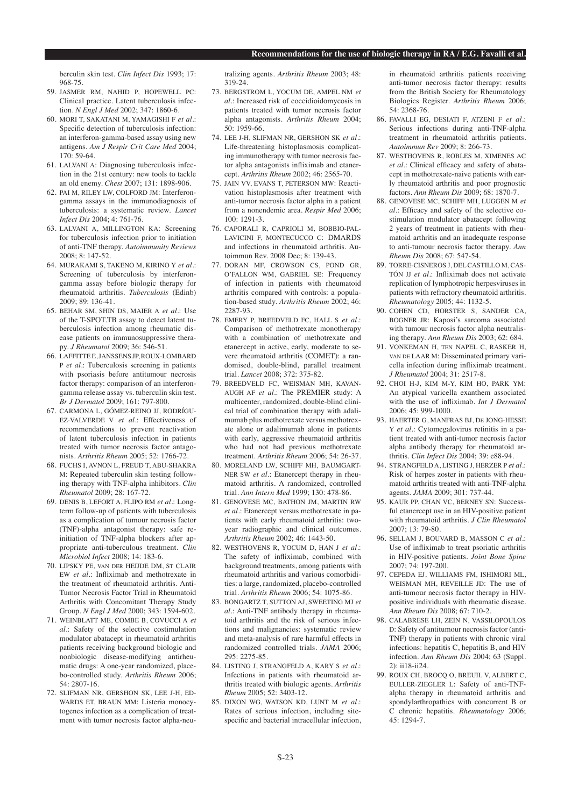berculin skin test. *Clin Infect Dis* 1993; 17: 968-75.

- 59. JASMER RM, NAHID P, HOPEWELL PC: Clinical practice. Latent tuberculosis infection. *N Engl J Med* 2002; 347: 1860-6.
- 60. MORI T, SAKATANI M, YAMAGISHI F *et al.*: Specific detection of tuberculosis infection: an interferon-gamma-based assay using new antigens. *Am J Respir Crit Care Med* 2004; 170: 59-64.
- 61. LALVANI A: Diagnosing tuberculosis infection in the 21st century: new tools to tackle an old enemy. *Chest* 2007; 131: 1898-906.
- 62. PAI M, RILEY LW, COLFORD JM: Interferongamma assays in the immunodiagnosis of tuberculosis: a systematic review. *Lancet Infect Dis* 2004; 4: 761-76.
- 63. LALVANI A, MILLINGTON KA: Screening for tuberculosis infection prior to initiation of anti-TNF therapy. *Autoimmunity Reviews* 2008; 8: 147-52.
- 64. MURAKAMI S, TAKENO M, KIRINO Y *et al.*: Screening of tuberculosis by interferongamma assay before biologic therapy for rheumatoid arthritis. *Tuberculosis* (Edinb)  $2009 \cdot 89 \cdot 136 - 41$
- 65. BEHAR SM, SHIN DS, MAIER A *et al.*: Use of the T-SPOT.TB assay to detect latent tuberculosis infection among rheumatic disease patients on immunosuppressive therapy. *J Rheumatol* 2009; 36: 546-51.
- 66. LAFFITTE E, JANSSENS JP, ROUX-LOMBARD P *et al.*: Tuberculosis screening in patients with psoriasis before antitumour necrosis factor therapy: comparison of an interferongamma release assay vs. tuberculin skin test. *Br J Dermatol* 2009; 161: 797-800.
- 67. CARMONA L, GÓMEZ-REINO JJ, RODRÍGU-EZ-VALVERDE V *et al.*: Effectiveness of recommendations to prevent reactivation of latent tuberculosis infection in patients treated with tumor necrosis factor antagonists. *Arthritis Rheum* 2005; 52: 1766-72.
- 68. FUCHS I, AVNON L, FREUD T, ABU-SHAKRA M: Repeated tuberculin skin testing following therapy with TNF-alpha inhibitors. *Clin Rheumatol* 2009; 28: 167-72.
- 69. DENIS B, LEFORT A, FLIPO RM *et al.*: Longterm follow-up of patients with tuberculosis as a complication of tumour necrosis factor (TNF)-alpha antagonist therapy: safe reinitiation of TNF-alpha blockers after appropriate anti-tuberculous treatment. *Clin Microbiol Infect* 2008; 14: 183-6.
- 70. LIPSKY PE, VAN DER HEIJDE DM, ST CLAIR EW *et al.*: Infliximab and methotrexate in the treatment of rheumatoid arthritis. Anti-Tumor Necrosis Factor Trial in Rheumatoid Arthritis with Concomitant Therapy Study Group. *N Engl J Med* 2000; 343: 1594-602.
- 71. WEINBLATT ME, COMBE B, COVUCCI A *et al.*: Safety of the selective costimulation modulator abatacept in rheumatoid arthritis patients receiving background biologic and nonbiologic disease-modifying antirheumatic drugs: A one-year randomized, placebo-controlled study. *Arthritis Rheum* 2006; 54: 2807-16.
- 72. SLIFMAN NR, GERSHON SK, LEE J-H, ED-WARDS ET, BRAUN MM: Listeria monocytogenes infection as a complication of treatment with tumor necrosis factor alpha-neu-

tralizing agents. *Arthritis Rheum* 2003; 48: 319-24.

- 73. BERGSTROM L, YOCUM DE, AMPEL NM *et al.*: Increased risk of coccidioidomycosis in patients treated with tumor necrosis factor alpha antagonists. *Arthritis Rheum* 2004; 50: 1959-66.
- 74. LEE J-H, SLIFMAN NR, GERSHON SK *et al.*: Life-threatening histoplasmosis complicating immunotherapy with tumor necrosis factor alpha antagonists infliximab and etanercept. *Arthritis Rheum* 2002; 46: 2565-70.
- 75. JAIN VV, EVANS T, PETERSON MW: Reactivation histoplasmosis after treatment with anti-tumor necrosis factor alpha in a patient from a nonendemic area. *Respir Med* 2006;  $100 \cdot 1291 - 3$
- 76. CAPORALI R, CAPRIOLI M, BOBBIO-PAL-LAVICINI F, MONTECUCCO C: DMARDS and infections in rheumatoid arthritis. Autoimmun Rev. 2008 Dec; 8: 139-43.
- 77. DORAN MF, CROWSON CS, POND GR, O'FALLON WM, GABRIEL SE: Frequency of infection in patients with rheumatoid arthritis compared with controls: a population-based study. *Arthritis Rheum* 2002; 46: 2287-93.
- 78. EMERY P, BREEDVELD FC, HALL S *et al.*: Comparison of methotrexate monotherapy with a combination of methotrexate and etanercept in active, early, moderate to severe rheumatoid arthritis (COMET): a randomised, double-blind, parallel treatment trial. *Lancet* 2008; 372: 375-82.
- 79. BREEDVELD FC, WEISMAN MH, KAVAN-AUGH AF *et al.*: The PREMIER study: A multicenter, randomized, double-blind clinical trial of combination therapy with adalimumab plus methotrexate versus methotrexate alone or adalimumab alone in patients with early, aggressive rheumatoid arthritis who had not had previous methotrexate treatment. *Arthritis Rheum* 2006; 54: 26-37.
- 80. MORELAND LW, SCHIFF MH, BAUMGART-NER SW *et al.*: Etanercept therapy in rheumatoid arthritis. A randomized, controlled trial. *Ann Intern Med* 1999; 130: 478-86.
- 81. GENOVESE MC, BATHON JM, MARTIN RW *et al.*: Etanercept versus methotrexate in patients with early rheumatoid arthritis: twoyear radiographic and clinical outcomes. *Arthritis Rheum* 2002; 46: 1443-50.
- 82. WESTHOVENS R, YOCUM D, HAN J *et al.*: The safety of infliximab, combined with background treatments, among patients with rheumatoid arthritis and various comorbidities: a large, randomized, placebo-controlled trial. *Arthritis Rheum* 2006; 54: 1075-86.
- 83. BONGARTZ T, SUTTON AJ, SWEETING MJ *et al.*: Anti-TNF antibody therapy in rheumatoid arthritis and the risk of serious infections and malignancies: systematic review and meta-analysis of rare harmful effects in randomized controlled trials. *JAMA* 2006; 295: 2275-85.
- 84. LISTING J, STRANGFELD A, KARY S *et al.*: Infections in patients with rheumatoid arthritis treated with biologic agents. *Arthritis Rheum* 2005; 52: 3403-12.
- 85. DIXON WG, WATSON KD, LUNT M *et al.*: Rates of serious infection, including sitespecific and bacterial intracellular infection,

in rheumatoid arthritis patients receiving anti-tumor necrosis factor therapy: results from the British Society for Rheumatology Biologics Register. *Arthritis Rheum* 2006; 54: 2368-76.

- 86. FAVALLI EG, DESIATI F, ATZENI F *et al.*: Serious infections during anti-TNF-alpha treatment in rheumatoid arthritis patients. *Autoimmun Rev* 2009; 8: 266-73.
- 87. WESTHOVENS R, ROBLES M, XIMENES AC *et al.*: Clinical efficacy and safety of abatacept in methotrexate-naive patients with early rheumatoid arthritis and poor prognostic factors. *Ann Rheum Dis* 2009; 68: 1870-7.
- 88. GENOVESE MC, SCHIFF MH, LUGGEN M *et al.*: Efficacy and safety of the selective costimulation modulator abatacept following 2 years of treatment in patients with rheumatoid arthritis and an inadequate response to anti-tumour necrosis factor therapy. *Ann Rheum Dis* 2008; 67: 547-54.
- 89. TORRE-CISNEROS J, DEL CASTILLO M, CAS-TÓN JJ *et al.*: Infliximab does not activate replication of lymphotropic herpesviruses in patients with refractory rheumatoid arthritis. *Rheumatology* 2005; 44: 1132-5.
- 90. COHEN CD, HORSTER S, SANDER CA, BOGNER JR: Kaposi's sarcoma associated with tumour necrosis factor alpha neutralising therapy. *Ann Rheum Dis* 2003; 62: 684.
- 91. VONKEMAN H, TEN NAPEL C, RASKER H, VAN DE LAAR M: Disseminated primary varicella infection during infliximab treatment. *J Rheumatol* 2004; 31: 2517-8.
- 92. CHOI H-J, KIM M-Y, KIM HO, PARK YM: An atypical varicella exanthem associated with the use of infliximab. *Int J Dermatol* 2006; 45: 999-1000.
- 93. HAERTER G, MANFRAS BJ, DE JONG-HESSE Y *et al.*: Cytomegalovirus retinitis in a patient treated with anti-tumor necrosis factor alpha antibody therapy for rheumatoid arthritis. *Clin Infect Dis* 2004; 39: e88-94.
- 94. STRANGFELD A, LISTING J, HERZER P *et al.*: Risk of herpes zoster in patients with rheumatoid arthritis treated with anti-TNF-alpha agents. *JAMA* 2009; 301: 737-44.
- 95. KAUR PP, CHAN VC, BERNEY SN: Successful etanercept use in an HIV-positive patient with rheumatoid arthritis. *J Clin Rheumatol* 2007; 13: 79-80.
- 96. SELLAM J, BOUVARD B, MASSON C *et al.*: Use of infliximab to treat psoriatic arthritis in HIV-positive patients. *Joint Bone Spine*  $2007 \cdot 74:197-200$ .
- 97. CEPEDA EL WILLIAMS FM, ISHIMORI ML, WEISMAN MH, REVEILLE JD: The use of anti-tumour necrosis factor therapy in HIVpositive individuals with rheumatic disease. *Ann Rheum Dis* 2008; 67: 710-2.
- 98. CALABRESE LH, ZEIN N, VASSILOPOULOS D: Safety of antitumour necrosis factor (anti-TNF) therapy in patients with chronic viral infections: hepatitis C, hepatitis B, and HIV infection. *Ann Rheum Dis* 2004; 63 (Suppl. 2): ii18-ii24.
- 99. ROUX CH, BROCQ O, BREUIL V, ALBERT C, EULLER-ZIEGLER L: Safety of anti-TNFalpha therapy in rheumatoid arthritis and spondylarthropathies with concurrent B or C chronic hepatitis. *Rheumatology* 2006; 45: 1294-7.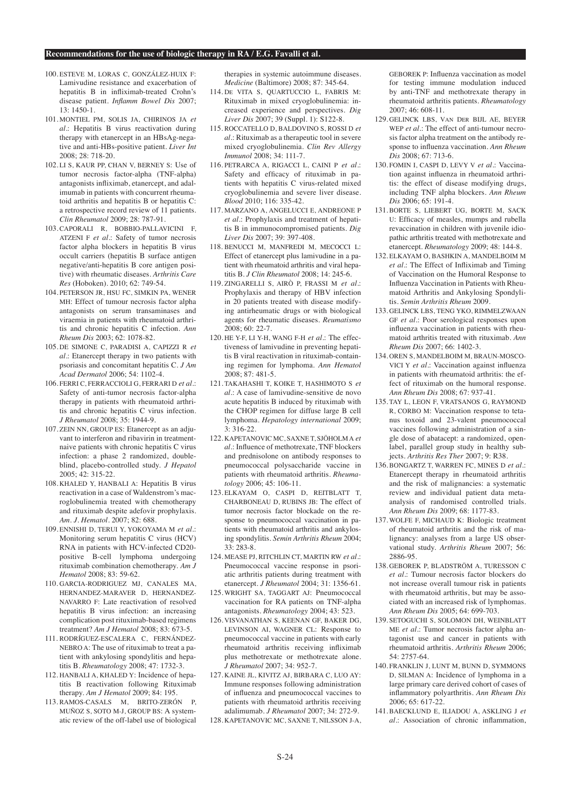- 100. ESTEVE M, LORAS C, GONZÁLEZ-HUIX F: Lamivudine resistance and exacerbation of hepatitis B in infliximab-treated Crohn's disease patient. *Inflamm Bowel Dis* 2007; 13: 1450-1.
- 101. MONTIEL PM, SOLIS JA, CHIRINOS JA *et al.*: Hepatitis B virus reactivation during therapy with etanercept in an HBsAg-negative and anti-HBs-positive patient. *Liver Int* 2008; 28: 718-20.
- 102. LI S, KAUR PP, CHAN V, BERNEY S: Use of tumor necrosis factor-alpha (TNF-alpha) antagonists infliximab, etanercept, and adalimumab in patients with concurrent rheumatoid arthritis and hepatitis B or hepatitis C: a retrospective record review of 11 patients. *Clin Rheumatol* 2009; 28: 787-91.
- 103. CAPORALI R, BOBBIO-PALLAVICINI F, ATZENI F *et al.*: Safety of tumor necrosis factor alpha blockers in hepatitis B virus occult carriers (hepatitis B surface antigen negative/anti-hepatitis B core antigen positive) with rheumatic diseases. *Arthritis Care Res* (Hoboken). 2010; 62: 749-54.
- 104. PETERSON JR, HSU FC, SIMKIN PA, WENER MH: Effect of tumour necrosis factor alpha antagonists on serum transaminases and viraemia in patients with rheumatoid arthritis and chronic hepatitis C infection. *Ann Rheum Dis* 2003; 62: 1078-82.
- 105. DE SIMONE C, PARADISI A, CAPIZZI R *et al.*: Etanercept therapy in two patients with psoriasis and concomitant hepatitis C. *J Am Acad Dermatol* 2006; 54: 1102-4.
- 106. FERRI C, FERRACCIOLI G, FERRARI D *et al.*: Safety of anti-tumor necrosis factor-alpha therapy in patients with rheumatoid arthritis and chronic hepatitis C virus infection. *J Rheumatol* 2008; 35: 1944-9.
- 107. ZEIN NN, GROUP ES: Etanercept as an adjuvant to interferon and ribavirin in treatmentnaive patients with chronic hepatitis C virus infection: a phase 2 randomized, doubleblind, placebo-controlled study. *J Hepatol*  $2005:42:315-22$
- 108. KHALED Y, HANBALI A: Hepatitis B virus reactivation in a case of Waldenstrom's macroglobulinemia treated with chemotherapy and rituximab despite adefovir prophylaxis. *Am. J. Hematol.* 2007; 82: 688.
- 109. ENNISHI D, TERUI Y, YOKOYAMA M *et al.*: Monitoring serum hepatitis C virus (HCV) RNA in patients with HCV-infected CD20 positive B-cell lymphoma undergoing rituximab combination chemotherapy. *Am J Hematol* 2008; 83: 59-62.
- 110. GARCIA-RODRIGUEZ MJ, CANALES MA, HERNANDEZ-MARAVER D, HERNANDEZ-NAVARRO F: Late reactivation of resolved hepatitis B virus infection: an increasing complication post rituximab-based regimens treatment? *Am J Hematol* 2008; 83: 673-5.
- 111. RODRÍGUEZ-ESCALERA C, FERNÁNDEZ-NEBRO A: The use of rituximab to treat a patient with ankylosing spondylitis and hepatitis B. *Rheumatology* 2008; 47: 1732-3.
- 112. HANBALI A, KHALED Y: Incidence of hepatitis B reactivation following Rituximab therapy. *Am J Hematol* 2009; 84: 195.
- 113. RAMOS-CASALS M, BRITO-ZERÓN P, MUÑOZ S, SOTO M-J, GROUP BS: A systematic review of the off-label use of biological

therapies in systemic autoimmune diseases. *Medicine* (Baltimore) 2008; 87: 345-64.

- 114. DE VITA S, QUARTUCCIO L, FABRIS M: Rituximab in mixed cryoglobulinemia: increased experience and perspectives. *Dig Liver Dis* 2007; 39 (Suppl. 1): S122-8.
- 115. ROCCATELLO D, BALDOVINO S, ROSSI D *et al.*: Rituximab as a therapeutic tool in severe mixed cryoglobulinemia. *Clin Rev Allergy Immunol* 2008; 34: 111-7.
- 116. PETRARCA A, RIGACCI L, CAINI P *et al.*: Safety and efficacy of rituximab in patients with hepatitis C virus-related mixed cryoglobulinemia and severe liver disease. *Blood* 2010; 116: 335-42.
- 117. MARZANO A, ANGELUCCI E, ANDREONE P *et al.*: Prophylaxis and treatment of hepatitis B in immunocompromised patients. *Dig Liver Dis* 2007; 39: 397-408.
- 118. BENUCCI M, MANFREDI M, MECOCCI L: Effect of etanercept plus lamivudine in a patient with rheumatoid arthritis and viral hepatitis B. *J Clin Rheumatol* 2008; 14: 245-6.
- 119. ZINGARELLI S, AIRÒ P, FRASSI M *et al.*: Prophylaxis and therapy of HBV infection in 20 patients treated with disease modifying antirheumatic drugs or with biological agents for rheumatic diseases. *Reumatismo* 2008; 60: 22-7.
- 120. HE Y-F, LI Y-H, WANG F-H *et al.*: The effectiveness of lamivudine in preventing hepatitis B viral reactivation in rituximab-containing regimen for lymphoma. *Ann Hematol* 2008; 87: 481-5.
- 121. TAKAHASHI T, KOIKE T, HASHIMOTO S *et al.*: A case of lamivudine-sensitive de novo acute hepatitis B induced by rituximab with the CHOP regimen for diffuse large B cell lymphoma. *Hepatology international* 2009; 3: 316-22.
- 122. KAPETANOVIC MC, SAXNE T, SJÖHOLM A *et al.*: Influence of methotrexate, TNF blockers and prednisolone on antibody responses to pneumococcal polysaccharide vaccine in patients with rheumatoid arthritis. *Rheumatology* 2006; 45: 106-11.
- 123. ELKAYAM O, CASPI D, REITBLATT T, CHARBONEAU D, RUBINS JB: The effect of tumor necrosis factor blockade on the response to pneumococcal vaccination in patients with rheumatoid arthritis and ankylosing spondylitis. *Semin Arthritis Rheum* 2004; 33: 283-8.
- 124. MEASE PJ, RITCHLIN CT, MARTIN RW *et al.*: Pneumococcal vaccine response in psoriatic arthritis patients during treatment with etanercept. *J Rheumatol* 2004; 31: 1356-61.
- 125. WRIGHT SA, TAGGART AJ: Pneumococcal vaccination for RA patients on TNF-alpha antagonists. *Rheumatology* 2004; 43: 523.
- 126. VISVANATHAN S, KEENAN GF, BAKER DG, LEVINSON AI, WAGNER CL: Response to pneumococcal vaccine in patients with early rheumatoid arthritis receiving infliximab plus methotrexate or methotrexate alone. *J Rheumatol* 2007; 34: 952-7.
- 127. KAINE JL, KIVITZ AJ, BIRBARA C, LUO AY: Immune responses following administration of influenza and pneumococcal vaccines to patients with rheumatoid arthritis receiving adalimumab. *J Rheumatol* 2007; 34: 272-9.
- 128. KAPETANOVIC MC, SAXNE T, NILSSON J-A,

GEBOREK P: Influenza vaccination as model for testing immune modulation induced by anti-TNF and methotrexate therapy in rheumatoid arthritis patients. *Rheumatology* 2007; 46: 608-11.

- 129. GELINCK LBS, VAN DER BIJL AE, BEYER WEP et al.: The effect of anti-tumour necrosis factor alpha treatment on the antibody response to influenza vaccination. *Ann Rheum Dis* 2008; 67: 713-6.
- 130. FOMIN I, CASPI D, LEVY V *et al.*: Vaccination against influenza in rheumatoid arthritis: the effect of disease modifying drugs, including TNF alpha blockers. *Ann Rheum Dis* 2006; 65: 191-4.
- 131. BORTE S, LIEBERT UG, BORTE M, SACK U: Efficacy of measles, mumps and rubella revaccination in children with juvenile idiopathic arthritis treated with methotrexate and etanercept. *Rheumatology* 2009; 48: 144-8.
- 132. ELKAYAM O, BASHKIN A, MANDELBOIM M *et al.*: The Effect of Infliximab and Timing of Vaccination on the Humoral Response to Influenza Vaccination in Patients with Rheumatoid Arthritis and Ankylosing Spondylitis. *Semin Arthritis Rheum* 2009.
- 133. GELINCK LBS, TENG YKO, RIMMELZWAAN GF *et al.*: Poor serological responses upon influenza vaccination in patients with rheumatoid arthritis treated with rituximab. *Ann Rheum Dis* 2007; 66: 1402-3.
- 134. OREN S, MANDELBOIM M, BRAUN-MOSCO-VICI Y *et al.*: Vaccination against influenza in patients with rheumatoid arthritis: the effect of rituximab on the humoral response. *Ann Rheum Dis* 2008; 67: 937-41.
- 135. TAY L, LEON F, VRATSANOS G, RAYMOND R, CORBO M: Vaccination response to tetanus toxoid and 23-valent pneumococcal vaccines following administration of a single dose of abatacept: a randomized, openlabel, parallel group study in healthy subjects. *Arthritis Res Ther* 2007; 9: R38.
- 136. BONGARTZ T, WARREN FC, MINES D *et al.*: Etanercept therapy in rheumatoid arthritis and the risk of malignancies: a systematic review and individual patient data metaanalysis of randomised controlled trials. *Ann Rheum Dis* 2009; 68: 1177-83.
- 137. WOLFE F, MICHAUD K: Biologic treatment of rheumatoid arthritis and the risk of malignancy: analyses from a large US observational study. *Arthritis Rheum* 2007; 56: 2886-95.
- 138. GEBOREK P, BLADSTRÖM A, TURESSON C *et al.*: Tumour necrosis factor blockers do not increase overall tumour risk in patients with rheumatoid arthritis, but may be associated with an increased risk of lymphomas. *Ann Rheum Dis* 2005; 64: 699-703.
- 139. SETOGUCHI S, SOLOMON DH, WEINBLATT ME *et al.*: Tumor necrosis factor alpha antagonist use and cancer in patients with rheumatoid arthritis. *Arthritis Rheum* 2006; 54: 2757-64.
- 140. FRANKLIN J, LUNT M, BUNN D, SYMMONS D, SILMAN A: Incidence of lymphoma in a large primary care derived cohort of cases of inflammatory polyarthritis. *Ann Rheum Dis* 2006; 65: 617-22.
- 141. BAECKLUND E, ILIADOU A, ASKLING J *et al.*: Association of chronic inflammation,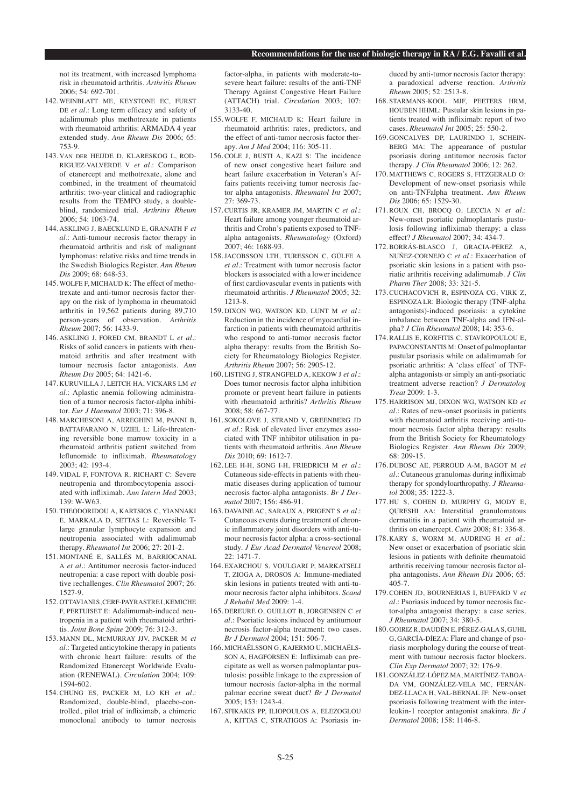not its treatment, with increased lymphoma risk in rheumatoid arthritis. *Arthritis Rheum* 2006; 54: 692-701.

- 142. WEINBLATT ME, KEYSTONE EC, FURST DE *et al.*: Long term efficacy and safety of adalimumab plus methotrexate in patients with rheumatoid arthritis: ARMADA 4 year extended study. *Ann Rheum Dis* 2006; 65: 753-9.
- 143. VAN DER HEIJDE D, KLARESKOG L, ROD-RIGUEZ-VALVERDE V *et al.*: Comparison of etanercept and methotrexate, alone and combined, in the treatment of rheumatoid arthritis: two-year clinical and radiographic results from the TEMPO study, a doubleblind, randomized trial. *Arthritis Rheum* 2006; 54: 1063-74.
- 144. ASKLING J, BAECKLUND E, GRANATH F *et al.*: Anti-tumour necrosis factor therapy in rheumatoid arthritis and risk of malignant lymphomas: relative risks and time trends in the Swedish Biologics Register. *Ann Rheum Dis* 2009; 68: 648-53.
- 145. WOLFE F, MICHAUD K: The effect of methotrexate and anti-tumor necrosis factor therapy on the risk of lymphoma in rheumatoid arthritis in 19,562 patients during 89,710 person-years of observation. *Arthritis Rheum* 2007; 56: 1433-9.
- 146. ASKLING J, FORED CM, BRANDT L *et al.*: Risks of solid cancers in patients with rheumatoid arthritis and after treatment with tumour necrosis factor antagonists. *Ann Rheum Dis* 2005; 64: 1421-6.
- 147. KURUVILLA J, LEITCH HA, VICKARS LM *et al.*: Aplastic anemia following administration of a tumor necrosis factor-alpha inhibitor. *Eur J Haematol* 2003; 71: 396-8.
- 148. MARCHESONI A, ARREGHINI M, PANNI B, BATTAFARANO N, UZIEL L: Life-threatening reversible bone marrow toxicity in a rheumatoid arthritis patient switched from leflunomide to infliximab. *Rheumatology* 2003; 42: 193-4.
- 149. VIDAL F, FONTOVA R, RICHART C: Severe neutropenia and thrombocytopenia associated with infliximab. *Ann Intern Med* 2003; 139: W-W63.
- 150. THEODORIDOU A, KARTSIOS C, YIANNAKI E, MARKALA D, SETTAS L: Reversible Tlarge granular lymphocyte expansion and neutropenia associated with adalimumab therapy. *Rheumatol Int* 2006; 27: 201-2.
- 151. MONTANÉ E, SALLÉS M, BARRIOCANAL A *et al.*: Antitumor necrosis factor-induced neutropenia: a case report with double positive rechallenges. *Clin Rheumatol* 2007; 26: 1527-9.
- 152. OTTAVIANI S, CERF-PAYRASTRE I, KEMICHE F, PERTUISET E: Adalimumab-induced neutropenia in a patient with rheumatoid arthritis. *Joint Bone Spine* 2009; 76: 312-3.
- 153. MANN DL, MCMURRAY JJV, PACKER M *et al.*: Targeted anticytokine therapy in patients with chronic heart failure: results of the Randomized Etanercept Worldwide Evaluation (RENEWAL). *Circulation* 2004; 109: 1594-602.
- 154. CHUNG ES, PACKER M, LO KH *et al.*: Randomized, double-blind, placebo-controlled, pilot trial of infliximab, a chimeric monoclonal antibody to tumor necrosis

factor-alpha, in patients with moderate-tosevere heart failure: results of the anti-TNF Therapy Against Congestive Heart Failure (ATTACH) trial. *Circulation* 2003; 107: 3133-40.

- 155. WOLFE F, MICHAUD K: Heart failure in rheumatoid arthritis: rates, predictors, and the effect of anti-tumor necrosis factor therapy. *Am J Med* 2004; 116: 305-11.
- 156. COLE J, BUSTI A, KAZI S: The incidence of new onset congestive heart failure and heart failure exacerbation in Veteran's Affairs patients receiving tumor necrosis factor alpha antagonists. *Rheumatol Int* 2007; 27: 369-73.
- 157. CURTIS JR, KRAMER JM, MARTIN C *et al.*: Heart failure among younger rheumatoid arthritis and Crohn's patients exposed to TNFalpha antagonists. *Rheumatology* (Oxford) 2007; 46: 1688-93.
- 158. JACOBSSON LTH, TURESSON C, GÜLFE A *et al.*: Treatment with tumor necrosis factor blockers is associated with a lower incidence of first cardiovascular events in patients with rheumatoid arthritis. *J Rheumatol* 2005; 32: 1213-8.
- 159. DIXON WG, WATSON KD, LUNT M *et al.*: Reduction in the incidence of myocardial infarction in patients with rheumatoid arthritis who respond to anti-tumor necrosis factor alpha therapy: results from the British Society for Rheumatology Biologics Register. *Arthritis Rheum* 2007; 56: 2905-12.
- 160. LISTING J, STRANGFELD A, KEKOW J *et al.*: Does tumor necrosis factor alpha inhibition promote or prevent heart failure in patients with rheumatoid arthritis? *Arthritis Rheum* 2008; 58: 667-77.
- 161. SOKOLOVE J, STRAND V, GREENBERG JD *et al.*: Risk of elevated liver enzymes associated with TNF inhibitor utilisation in patients with rheumatoid arthritis. *Ann Rheum Dis* 2010; 69: 1612-7.
- 162. LEE H-H, SONG I-H, FRIEDRICH M *et al.*: Cutaneous side-effects in patients with rheumatic diseases during application of tumour necrosis factor-alpha antagonists. *Br J Dermatol* 2007; 156: 486-91.
- 163. DAVAINE AC, SARAUX A, PRIGENT S *et al.*: Cutaneous events during treatment of chronic inflammatory joint disorders with anti-tumour necrosis factor alpha: a cross-sectional study. *J Eur Acad Dermatol Venereol* 2008; 22: 1471-7.
- 164. EXARCHOU S, VOULGARI P, MARKATSELI T, ZIOGA A, DROSOS A: Immune-mediated skin lesions in patients treated with anti-tumour necrosis factor alpha inhibitors. *Scand J Rehabil Med* 2009: 1-4.
- 165. DEREURE O, GUILLOT B, JORGENSEN C *et al.*: Psoriatic lesions induced by antitumour necrosis factor-alpha treatment: two cases. *Br J Dermatol* 2004; 151: 506-7.
- 166. MICHAËLSSON G, KAJERMO U, MICHAËLS-SON A, HAGFORSEN E: Infliximab can precipitate as well as worsen palmoplantar pustulosis: possible linkage to the expression of tumour necrosis factor-alpha in the normal palmar eccrine sweat duct? *Br J Dermatol* 2005; 153: 1243-4.
- 167. SFIKAKIS PP, ILIOPOULOS A, ELEZOGLOU A, KITTAS C, STRATIGOS A: Psoriasis in-

duced by anti-tumor necrosis factor therapy: a paradoxical adverse reaction. *Arthritis Rheum* 2005; 52: 2513-8.

- 168. STARMANS-KOOL MJF, PEETERS HRM, HOUBEN HHML: Pustular skin lesions in patients treated with infliximab: report of two cases. *Rheumatol Int* 2005; 25: 550-2.
- 169. GONCALVES DP, LAURINDO I, SCHEIN-BERG MA: The appearance of pustular psoriasis during antitumor necrosis factor therapy. *J Clin Rheumatol* 2006; 12: 262.
- 170. MATTHEWS C, ROGERS S, FITZGERALD O: Development of new-onset psoriasis while on anti-TNFalpha treatment. *Ann Rheum Dis* 2006; 65: 1529-30.
- 171. ROUX CH, BROCQ O, LECCIA N *et al.*: New-onset psoriatic palmoplantaris pustulosis following infliximab therapy: a class effect? *J Rheumatol* 2007; 34: 434-7.
- 172. BORRÁS-BLASCO J, GRACIA-PEREZ A, NUÑEZ-CORNEJO C *et al.*: Exacerbation of psoriatic skin lesions in a patient with psoriatic arthritis receiving adalimumab. *J Clin Pharm Ther* 2008; 33: 321-5.
- 173. CUCHACOVICH R, ESPINOZA CG, VIRK Z, ESPINOZA LR: Biologic therapy (TNF-alpha antagonists)-induced psoriasis: a cytokine imbalance between TNF-alpha and IFN-alpha? *J Clin Rheumatol* 2008; 14: 353-6.
- 174. RALLIS E, KORFITIS C, STAVROPOULOU E, PAPACONSTANTIS M: Onset of palmoplantar pustular psoriasis while on adalimumab for psoriatic arthritis: A 'class effect' of TNFalpha antagonists or simply an anti-psoriatic treatment adverse reaction? *J Dermatolog Treat* 2009: 1-3.
- 175. HARRISON MJ, DIXON WG, WATSON KD *et al.*: Rates of new-onset psoriasis in patients with rheumatoid arthritis receiving anti-tumour necrosis factor alpha therapy: results from the British Society for Rheumatology Biologics Register. *Ann Rheum Dis* 2009; 68: 209-15.
- 176. DUBOSC AE, PERROUD A-M, BAGOT M *et al.*: Cutaneous granulomas during infliximab therapy for spondyloarthropathy. *J Rheumatol* 2008; 35: 1222-3.
- 177. HU S, COHEN D, MURPHY G, MODY E, QURESHI AA: Interstitial granulomatous dermatitis in a patient with rheumatoid arthritis on etanercept. *Cutis* 2008; 81: 336-8.
- 178. KARY S, WORM M, AUDRING H *et al.*: New onset or exacerbation of psoriatic skin lesions in patients with definite rheumatoid arthritis receiving tumour necrosis factor alpha antagonists. *Ann Rheum Dis* 2006; 65:  $405 - 7$ .
- 179. COHEN JD, BOURNERIAS I, BUFFARD V *et al.*: Psoriasis induced by tumor necrosis factor-alpha antagonist therapy: a case series. *J Rheumatol* 2007; 34: 380-5.
- 180. GOIRIZ R, DAUDÉN E, PÉREZ-GALA S, GUHL G, GARCÍA-DÍEZ A: Flare and change of psoriasis morphology during the course of treatment with tumour necrosis factor blockers. *Clin Exp Dermatol* 2007; 32: 176-9.
- 181. GONZÁLEZ-LÓPEZ MA, MARTÍNEZ-TABOA-DA VM, GONZÁLEZ-VELA MC, FERNÁN-DEZ-LLACA H, VAL-BERNAL JF: New-onset psoriasis following treatment with the interleukin-1 receptor antagonist anakinra. *Br J Dermatol* 2008; 158: 1146-8.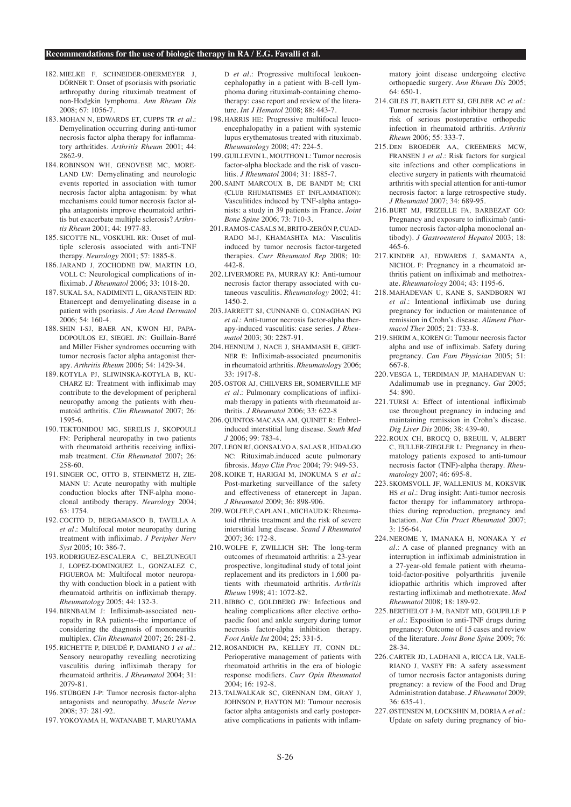- 182 MIELKE E, SCHNEIDER-OBERMEYER I DÖRNER T: Onset of psoriasis with psoriatic arthropathy during rituximab treatment of non-Hodgkin lymphoma. *Ann Rheum Dis* 2008; 67: 1056-7.
- 183. MOHAN N, EDWARDS ET, CUPPS TR *et al.*: Demyelination occurring during anti-tumor necrosis factor alpha therapy for inflammatory arthritides. *Arthritis Rheum* 2001; 44: 2862-9.
- 184. ROBINSON WH, GENOVESE MC, MORE-LAND LW: Demyelinating and neurologic events reported in association with tumor necrosis factor alpha antagonism: by what mechanisms could tumor necrosis factor alpha antagonists improve rheumatoid arthritis but exacerbate multiple sclerosis? *Arthritis Rheum* 2001; 44: 1977-83.
- 185. SICOTTE NL, VOSKUHL RR: Onset of multiple sclerosis associated with anti-TNF therapy. *Neurology* 2001; 57: 1885-8.
- 186. JARAND J, ZOCHODNE DW, MARTIN LO, VOLL C: Neurological complications of infliximab. *J Rheumatol* 2006; 33: 1018-20.
- 187. SUKAL SA, NADIMINTI L, GRANSTEIN RD: Etanercept and demyelinating disease in a patient with psoriasis. *J Am Acad Dermatol* 2006; 54: 160-4.
- 188. SHIN I-SJ, BAER AN, KWON HJ, PAPA-DOPOULOS EJ, SIEGEL JN: Guillain-Barré and Miller Fisher syndromes occurring with tumor necrosis factor alpha antagonist therapy. *Arthritis Rheum* 2006; 54: 1429-34.
- 189. KOTYLA PJ, SLIWINSKA-KOTYLA B, KU-CHARZ EJ: Treatment with infliximab may contribute to the development of peripheral neuropathy among the patients with rheumatoid arthritis. *Clin Rheumatol* 2007; 26: 1595-6.
- 190. TEKTONIDOU MG, SERELIS J, SKOPOULI FN: Peripheral neuropathy in two patients with rheumatoid arthritis receiving infliximab treatment. *Clin Rheumatol* 2007; 26: 258-60.
- 191. SINGER OC, OTTO B, STEINMETZ H, ZIE-MANN U: Acute neuropathy with multiple conduction blocks after TNF-alpha monoclonal antibody therapy. *Neurology* 2004; 63: 1754.
- 192. COCITO D, BERGAMASCO B, TAVELLA A *et al.*: Multifocal motor neuropathy during treatment with infliximab. *J Peripher Nerv Syst* 2005; 10: 386-7.
- 193. RODRIGUEZ-ESCALERA C, BELZUNEGUI J, LOPEZ-DOMINGUEZ L, GONZALEZ C, FIGUEROA M: Multifocal motor neuropathy with conduction block in a patient with rheumatoid arthritis on infliximab therapy. *Rheumatology* 2005; 44: 132-3.
- 194. BIRNBAUM J: Infliximab-associated neuropathy in RA patients--the importance of considering the diagnosis of mononeuritis multiplex. *Clin Rheumatol* 2007; 26: 281-2.
- 195. RICHETTE P, DIEUDÉ P, DAMIANO J *et al.*: Sensory neuropathy revealing necrotizing vasculitis during infliximab therapy for rheumatoid arthritis. *J Rheumatol* 2004; 31: 2079-81.
- 196. STÜBGEN J-P: Tumor necrosis factor-alpha antagonists and neuropathy. *Muscle Nerve*  $2008 \cdot 37 \cdot 281 - 92$
- 197. YOKOYAMA H, WATANABE T, MARUYAMA

D *et al.*: Progressive multifocal leukoencephalopathy in a patient with B-cell lymphoma during rituximab-containing chemotherapy: case report and review of the literature. *Int J Hematol* 2008; 88: 443-7.

- 198. HARRIS HE: Progressive multifocal leucoencephalopathy in a patient with systemic lupus erythematosus treated with rituximab. *Rheumatology* 2008; 47: 224-5.
- 199. GUILLEVIN L, MOUTHON L: Tumor necrosis factor-alpha blockade and the risk of vasculitis. *J Rheumatol* 2004; 31: 1885-7.
- 200. SAINT MARCOUX B, DE BANDT M; CRI (CLUB RHUMATISMES ET INFLAMMATION): Vasculitides induced by TNF-alpha antagonists: a study in 39 patients in France. *Joint Bone Spine* 2006; 73: 710-3.
- 201. RAMOS-CASALS M, BRITO-ZERÓN P, CUAD-RADO M-J, KHAMASHTA MA: Vasculitis induced by tumor necrosis factor-targeted therapies. *Curr Rheumatol Rep* 2008; 10: 442-8.
- 202. LIVERMORE PA, MURRAY KJ: Anti-tumour necrosis factor therapy associated with cutaneous vasculitis. *Rheumatology* 2002; 41: 1450-2.
- 203. JARRETT SJ, CUNNANE G, CONAGHAN PG *et al.*: Anti-tumor necrosis factor-alpha therapy-induced vasculitis: case series. *J Rheumatol* 2003; 30: 2287-91.
- 204. HENNUM J, NACE J, SHAMMASH E, GERT-NER E: Infliximab-associated pneumonitis in rheumatoid arthritis. *Rheumatolog*y 2006; 33: 1917-8.
- 205. OSTOR AJ, CHILVERS ER, SOMERVILLE MF *et al.*: Pulmonary complications of infliximab therapy in patients with rheumatoid arthritis. *J Rheumatol* 2006; 33: 622-8
- 206. QUINTOS-MACASA AM, QUINET R: Enbrelinduced interstitial lung disease. *South Med J* 2006; 99: 783-4.
- 207. LEON RJ, GONSALVO A, SALAS R, HIDALGO NC: Rituximab.induced acute pulmonary fibrosis. *Mayo Clin Proc* 2004; 79: 949-53.
- 208. KOIKE T, HARIGAI M, INOKUMA S *et al.*: Post-marketing surveillance of the safety and effectiveness of etanercept in Japan. *J Rheumatol* 2009; 36: 898-906.
- 209. WOLFE F, CAPLAN L, MICHAUD K: Rheumatoid rthritis treatment and the risk of severe interstitial lung disease. *Scand J Rheumatol*  2007; 36: 172-8.
- 210. WOLFE F, ZWILLICH SH: The long-term outcomes of rheumatoid arthritis: a 23-year prospective, longitudinal study of total joint replacement and its predictors in 1,600 patients with rheumatoid arthritis. *Arthritis Rheum* 1998; 41: 1072-82.
- 211. BIBBO C, GOLDBERG JW: Infectious and healing complications after elective orthopaedic foot and ankle surgery during tumor necrosis factor-alpha inhibition therapy. *Foot Ankle Int* 2004; 25: 331-5.
- 212. ROSANDICH PA, KELLEY JT, CONN DL: Perioperative management of patients with rheumatoid arthritis in the era of biologic response modifiers. *Curr Opin Rheumatol*  $2004 \cdot 16:192 - 8$ .
- 213. TALWALKAR SC, GRENNAN DM, GRAY J, JOHNSON P, HAYTON MJ: Tumour necrosis factor alpha antagonists and early postoperative complications in patients with inflam-

matory joint disease undergoing elective orthopaedic surgery. *Ann Rheum Dis* 2005; 64: 650-1.

- 214. GILES JT, BARTLETT SJ, GELBER AC *et al.*: Tumor necrosis factor inhibitor therapy and risk of serious postoperative orthopedic infection in rheumatoid arthritis. *Arthritis Rheum* 2006; 55: 333-7.
- 215. DEN BROEDER AA, CREEMERS MCW, FRANSEN J *et al.*: Risk factors for surgical site infections and other complications in elective surgery in patients with rheumatoid arthritis with special attention for anti-tumor necrosis factor: a large retrospective study. *J Rheumatol* 2007; 34: 689-95.
- 216. BURT MJ, FRIZELLE FA, BARBEZAT GO: Pregnancy and exposure to infliximab (antitumor necrosis factor-alpha monoclonal antibody). *J Gastroenterol Hepatol* 2003; 18: 465-6.
- 217. KINDER AJ, EDWARDS J, SAMANTA A, NICHOL F: Pregnancy in a rheumatoid arthritis patient on infliximab and methotrexate. *Rheumatology* 2004; 43: 1195-6.
- 218. MAHADEVAN U, KANE S, SANDBORN WJ *et al.*: Intentional infliximab use during pregnancy for induction or maintenance of remission in Crohn's disease. *Aliment Pharmacol Ther* 2005; 21: 733-8.
- 219. SHRIM A, KOREN G: Tumour necrosis factor alpha and use of infliximab. Safety during pregnancy. *Can Fam Physician* 2005; 51: 667-8.
- 220. VESGA L, TERDIMAN JP, MAHADEVAN U: Adalimumab use in pregnancy. *Gut* 2005; 54: 890.
- 221. TURSI A: Effect of intentional infliximab use throughout pregnancy in inducing and maintaining remission in Crohn's disease. *Dig Liver Dis* 2006; 38: 439-40.
- 222. ROUX CH, BROCQ O, BREUIL V, ALBERT C, EULLER-ZIEGLER L: Pregnancy in rheumatology patients exposed to anti-tumour necrosis factor (TNF)-alpha therapy. *Rheumatology* 2007; 46: 695-8.
- 223. SKOMSVOLL JF, WALLENIUS M, KOKSVIK HS *et al.*: Drug insight: Anti-tumor necrosis factor therapy for inflammatory arthropathies during reproduction, pregnancy and lactation. *Nat Clin Pract Rheumatol* 2007; 3: 156-64.
- 224. NEROME Y, IMANAKA H, NONAKA Y *et al.*: A case of planned pregnancy with an interruption in infliximab administration in a 27-year-old female patient with rheumatoid-factor-positive polyarthritis juvenile idiopathic arthritis which improved after restarting infliximab and methotrexate. *Mod Rheumatol* 2008; 18: 189-92.
- 225. BERTHELOT J-M, BANDT MD, GOUPILLE P *et al.*: Exposition to anti-TNF drugs during pregnancy: Outcome of 15 cases and review of the literature. *Joint Bone Spine* 2009; 76: 28-34.
- 226. CARTER JD, LADHANI A, RICCA LR, VALE-RIANO J, VASEY FB: A safety assessment of tumor necrosis factor antagonists during pregnancy: a review of the Food and Drug Administration database. *J Rheumatol* 2009; 36: 635-41.
- 227. ØSTENSEN M, LOCKSHIN M, DORIA A *et al.*: Update on safety during pregnancy of bio-